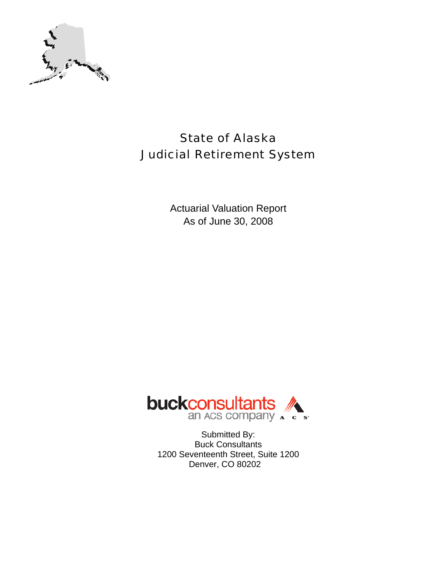

# State of Alaska Judicial Retirement System

Actuarial Valuation Report As of June 30, 2008



Submitted By: Buck Consultants 1200 Seventeenth Street, Suite 1200 Denver, CO 80202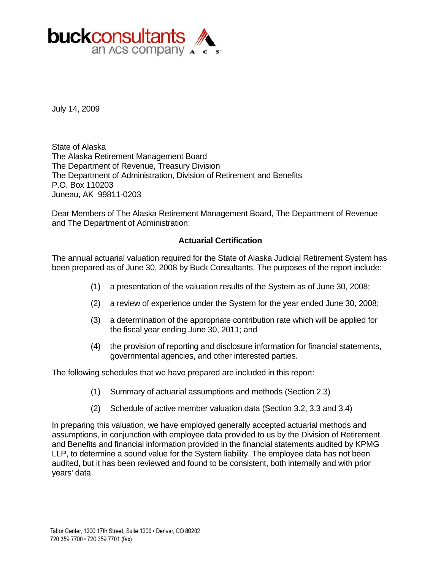

July 14, 2009

State of Alaska The Alaska Retirement Management Board The Department of Revenue, Treasury Division The Department of Administration, Division of Retirement and Benefits P.O. Box 110203 Juneau, AK 99811-0203

Dear Members of The Alaska Retirement Management Board, The Department of Revenue and The Department of Administration:

### **Actuarial Certification**

The annual actuarial valuation required for the State of Alaska Judicial Retirement System has been prepared as of June 30, 2008 by Buck Consultants. The purposes of the report include:

- (1) a presentation of the valuation results of the System as of June 30, 2008;
- (2) a review of experience under the System for the year ended June 30, 2008;
- (3) a determination of the appropriate contribution rate which will be applied for the fiscal year ending June 30, 2011; and
- (4) the provision of reporting and disclosure information for financial statements, governmental agencies, and other interested parties.

The following schedules that we have prepared are included in this report:

- (1) Summary of actuarial assumptions and methods (Section 2.3)
- (2) Schedule of active member valuation data (Section 3.2, 3.3 and 3.4)

In preparing this valuation, we have employed generally accepted actuarial methods and assumptions, in conjunction with employee data provided to us by the Division of Retirement and Benefits and financial information provided in the financial statements audited by KPMG LLP, to determine a sound value for the System liability. The employee data has not been audited, but it has been reviewed and found to be consistent, both internally and with prior years' data.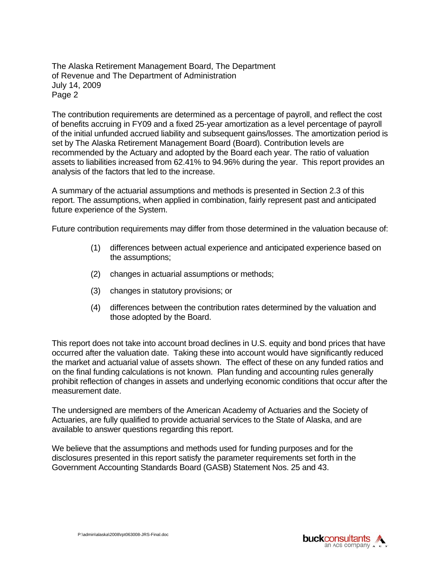The Alaska Retirement Management Board, The Department of Revenue and The Department of Administration July 14, 2009 Page 2

The contribution requirements are determined as a percentage of payroll, and reflect the cost of benefits accruing in FY09 and a fixed 25-year amortization as a level percentage of payroll of the initial unfunded accrued liability and subsequent gains/losses. The amortization period is set by The Alaska Retirement Management Board (Board). Contribution levels are recommended by the Actuary and adopted by the Board each year. The ratio of valuation assets to liabilities increased from 62.41% to 94.96% during the year. This report provides an analysis of the factors that led to the increase.

A summary of the actuarial assumptions and methods is presented in Section 2.3 of this report. The assumptions, when applied in combination, fairly represent past and anticipated future experience of the System.

Future contribution requirements may differ from those determined in the valuation because of:

- (1) differences between actual experience and anticipated experience based on the assumptions;
- (2) changes in actuarial assumptions or methods;
- (3) changes in statutory provisions; or
- (4) differences between the contribution rates determined by the valuation and those adopted by the Board.

This report does not take into account broad declines in U.S. equity and bond prices that have occurred after the valuation date. Taking these into account would have significantly reduced the market and actuarial value of assets shown. The effect of these on any funded ratios and on the final funding calculations is not known. Plan funding and accounting rules generally prohibit reflection of changes in assets and underlying economic conditions that occur after the measurement date.

The undersigned are members of the American Academy of Actuaries and the Society of Actuaries, are fully qualified to provide actuarial services to the State of Alaska, and are available to answer questions regarding this report.

We believe that the assumptions and methods used for funding purposes and for the disclosures presented in this report satisfy the parameter requirements set forth in the Government Accounting Standards Board (GASB) Statement Nos. 25 and 43.

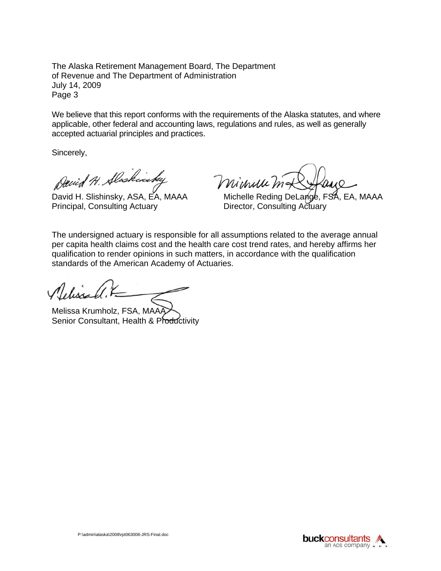The Alaska Retirement Management Board, The Department of Revenue and The Department of Administration July 14, 2009 Page 3

We believe that this report conforms with the requirements of the Alaska statutes, and where applicable, other federal and accounting laws, regulations and rules, as well as generally accepted actuarial principles and practices.

Sincerely,

David H. Alschinstey

Principal, Consulting Actuary **Director, Consulting Actuary** 

Michelle

David H. Slishinsky, ASA, EA, MAAA Michelle Reding DeLange, FSA, EA, MAAA

The undersigned actuary is responsible for all assumptions related to the average annual per capita health claims cost and the health care cost trend rates, and hereby affirms her qualification to render opinions in such matters, in accordance with the qualification standards of the American Academy of Actuaries.

Melissa Krumholz, FSA, MAA Senior Consultant, Health & Productivity

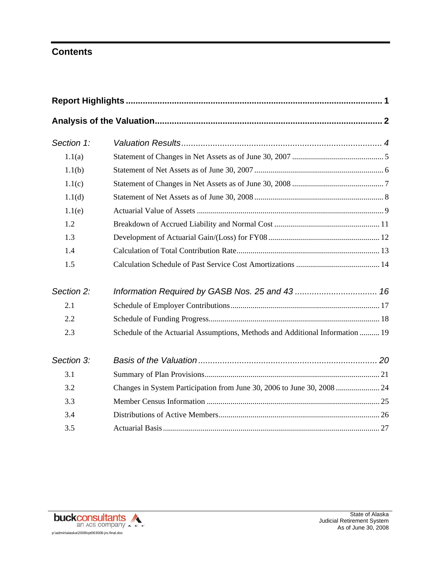# **Contents**

| Section 1: |                                                                               |  |
|------------|-------------------------------------------------------------------------------|--|
| 1.1(a)     |                                                                               |  |
| 1.1(b)     |                                                                               |  |
| 1.1(c)     |                                                                               |  |
| 1.1(d)     |                                                                               |  |
| 1.1(e)     |                                                                               |  |
| 1.2        |                                                                               |  |
| 1.3        |                                                                               |  |
| 1.4        |                                                                               |  |
| 1.5        |                                                                               |  |
| Section 2: |                                                                               |  |
| 2.1        |                                                                               |  |
| 2.2        |                                                                               |  |
| 2.3        | Schedule of the Actuarial Assumptions, Methods and Additional Information  19 |  |
| Section 3: |                                                                               |  |
| 3.1        |                                                                               |  |
| 3.2        |                                                                               |  |
| 3.3        |                                                                               |  |
| 3.4        |                                                                               |  |
| 3.5        |                                                                               |  |

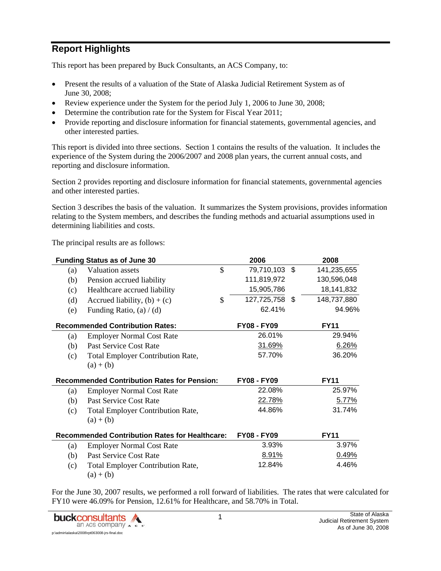# **Report Highlights**

This report has been prepared by Buck Consultants, an ACS Company, to:

- Present the results of a valuation of the State of Alaska Judicial Retirement System as of June 30, 2008;
- Review experience under the System for the period July 1, 2006 to June 30, 2008;
- Determine the contribution rate for the System for Fiscal Year 2011;
- Provide reporting and disclosure information for financial statements, governmental agencies, and other interested parties.

This report is divided into three sections. Section 1 contains the results of the valuation. It includes the experience of the System during the 2006/2007 and 2008 plan years, the current annual costs, and reporting and disclosure information.

Section 2 provides reporting and disclosure information for financial statements, governmental agencies and other interested parties.

Section 3 describes the basis of the valuation. It summarizes the System provisions, provides information relating to the System members, and describes the funding methods and actuarial assumptions used in determining liabilities and costs.

The principal results are as follows:

|     | <b>Funding Status as of June 30</b>                   |              | 2006               | 2008        |
|-----|-------------------------------------------------------|--------------|--------------------|-------------|
| (a) | <b>Valuation</b> assets                               | $\mathbb{S}$ | 79,710,103 \$      | 141,235,655 |
| (b) | Pension accrued liability                             |              | 111,819,972        | 130,596,048 |
| (c) | Healthcare accrued liability                          |              | 15,905,786         | 18,141,832  |
| (d) | Accrued liability, $(b) + (c)$                        | $\mathbb{S}$ | 127,725,758 \$     | 148,737,880 |
| (e) | Funding Ratio, $(a) / (d)$                            |              | 62.41%             | 94.96%      |
|     | <b>Recommended Contribution Rates:</b>                |              | <b>FY08 - FY09</b> | <b>FY11</b> |
| (a) | <b>Employer Normal Cost Rate</b>                      |              | 26.01%             | 29.94%      |
| (b) | Past Service Cost Rate                                |              | 31.69%             | 6.26%       |
| (c) | <b>Total Employer Contribution Rate,</b>              |              | 57.70%             | 36.20%      |
|     | $(a) + (b)$                                           |              |                    |             |
|     | <b>Recommended Contribution Rates for Pension:</b>    |              | <b>FY08 - FY09</b> | <b>FY11</b> |
|     |                                                       |              |                    |             |
| (a) | <b>Employer Normal Cost Rate</b>                      |              | 22.08%             | 25.97%      |
| (b) | Past Service Cost Rate                                |              | 22.78%             | 5.77%       |
| (c) | <b>Total Employer Contribution Rate,</b>              |              | 44.86%             | 31.74%      |
|     | $(a) + (b)$                                           |              |                    |             |
|     | <b>Recommended Contribution Rates for Healthcare:</b> |              | <b>FY08 - FY09</b> | <b>FY11</b> |
| (a) | <b>Employer Normal Cost Rate</b>                      |              | 3.93%              | 3.97%       |
| (b) | Past Service Cost Rate                                |              | 8.91%              | 0.49%       |
| (c) | <b>Total Employer Contribution Rate,</b>              |              | 12.84%             | 4.46%       |

For the June 30, 2007 results, we performed a roll forward of liabilities. The rates that were calculated for FY10 were 46.09% for Pension, 12.61% for Healthcare, and 58.70% in Total.

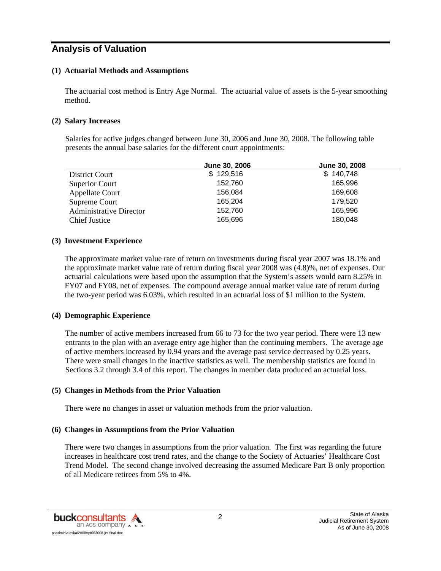## **Analysis of Valuation**

#### **(1) Actuarial Methods and Assumptions**

The actuarial cost method is Entry Age Normal. The actuarial value of assets is the 5-year smoothing method.

#### **(2) Salary Increases**

Salaries for active judges changed between June 30, 2006 and June 30, 2008. The following table presents the annual base salaries for the different court appointments:

|                                | June 30, 2006 | June 30, 2008 |
|--------------------------------|---------------|---------------|
| District Court                 | \$129,516     | \$140,748     |
| Superior Court                 | 152,760       | 165.996       |
| <b>Appellate Court</b>         | 156,084       | 169,608       |
| Supreme Court                  | 165,204       | 179,520       |
| <b>Administrative Director</b> | 152,760       | 165,996       |
| Chief Justice                  | 165,696       | 180,048       |

#### **(3) Investment Experience**

The approximate market value rate of return on investments during fiscal year 2007 was 18.1% and the approximate market value rate of return during fiscal year 2008 was (4.8)%, net of expenses. Our actuarial calculations were based upon the assumption that the System's assets would earn 8.25% in FY07 and FY08, net of expenses. The compound average annual market value rate of return during the two-year period was 6.03%, which resulted in an actuarial loss of \$1 million to the System.

#### **(4) Demographic Experience**

The number of active members increased from 66 to 73 for the two year period. There were 13 new entrants to the plan with an average entry age higher than the continuing members. The average age of active members increased by 0.94 years and the average past service decreased by 0.25 years. There were small changes in the inactive statistics as well. The membership statistics are found in Sections 3.2 through 3.4 of this report. The changes in member data produced an actuarial loss.

#### **(5) Changes in Methods from the Prior Valuation**

There were no changes in asset or valuation methods from the prior valuation.

#### **(6) Changes in Assumptions from the Prior Valuation**

There were two changes in assumptions from the prior valuation. The first was regarding the future increases in healthcare cost trend rates, and the change to the Society of Actuaries' Healthcare Cost Trend Model. The second change involved decreasing the assumed Medicare Part B only proportion of all Medicare retirees from 5% to 4%.

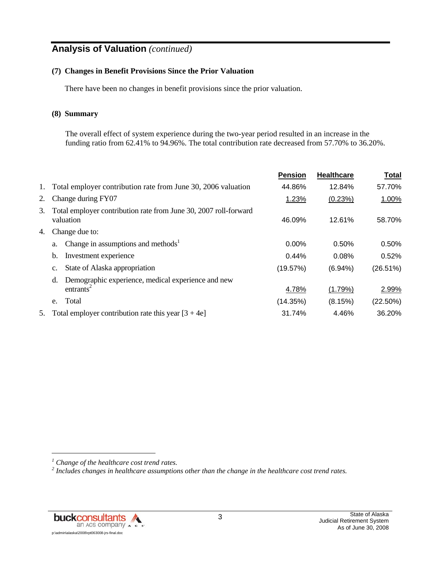# **Analysis of Valuation** *(continued)*

#### **(7) Changes in Benefit Provisions Since the Prior Valuation**

There have been no changes in benefit provisions since the prior valuation.

#### **(8) Summary**

The overall effect of system experience during the two-year period resulted in an increase in the funding ratio from 62.41% to 94.96%. The total contribution rate decreased from 57.70% to 36.20%.

|    |                                                                                   | <b>Pension</b> | <b>Healthcare</b> | <b>Total</b> |
|----|-----------------------------------------------------------------------------------|----------------|-------------------|--------------|
| 1. | Total employer contribution rate from June 30, 2006 valuation                     | 44.86%         | 12.84%            | 57.70%       |
| 2. | Change during FY07                                                                | 1.23%          | (0.23%)           | 1.00%        |
| 3. | Total employer contribution rate from June 30, 2007 roll-forward<br>valuation     | 46.09%         | 12.61%            | 58.70%       |
| 4. | Change due to:                                                                    |                |                   |              |
|    | Change in assumptions and methods <sup>1</sup><br>a.                              | 0.00%          | 0.50%             | 0.50%        |
|    | Investment experience<br>b.                                                       | 0.44%          | 0.08%             | 0.52%        |
|    | State of Alaska appropriation<br>c.                                               | (19.57%)       | $(6.94\%)$        | (26.51%)     |
|    | Demographic experience, medical experience and new<br>d.<br>entrants <sup>2</sup> | 4.78%          | $(1.79\%)$        | 2.99%        |
|    | Total<br>e.                                                                       | (14.35%)       | (8.15%)           | $(22.50\%)$  |
| 5. | Total employer contribution rate this year $[3 + 4e]$                             | 31.74%         | 4.46%             | 36.20%       |

*<sup>1</sup> Change of the healthcare cost trend rates.* 

*<sup>2</sup> Includes changes in healthcare assumptions other than the change in the healthcare cost trend rates.*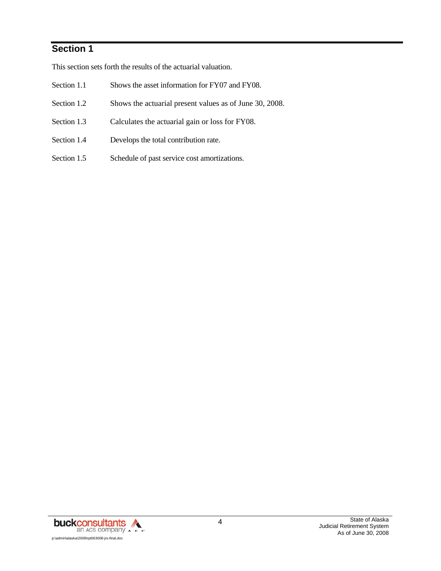# **Section 1**

This section sets forth the results of the actuarial valuation.

- Section 1.1 Shows the asset information for FY07 and FY08.
- Section 1.2 Shows the actuarial present values as of June 30, 2008.
- Section 1.3 Calculates the actuarial gain or loss for FY08.
- Section 1.4 Develops the total contribution rate.
- Section 1.5 Schedule of past service cost amortizations.

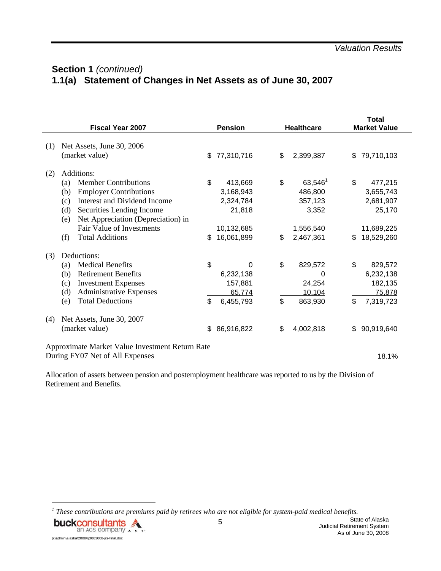# **Section 1** *(continued)* **1.1(a) Statement of Changes in Net Assets as of June 30, 2007**

|     | <b>Fiscal Year 2007</b>                                                                                                                                                                                                                                                        |          | <b>Pension</b>                                                          |          | <b>Healthcare</b>                                                   |          | Total<br><b>Market Value</b>                                                   |  |
|-----|--------------------------------------------------------------------------------------------------------------------------------------------------------------------------------------------------------------------------------------------------------------------------------|----------|-------------------------------------------------------------------------|----------|---------------------------------------------------------------------|----------|--------------------------------------------------------------------------------|--|
| (1) | Net Assets, June 30, 2006<br>(market value)                                                                                                                                                                                                                                    | \$       | 77,310,716                                                              | \$       | 2,399,387                                                           | \$       | 79,710,103                                                                     |  |
| (2) | Additions:<br><b>Member Contributions</b><br>(a)<br><b>Employer Contributions</b><br>(b)<br>Interest and Dividend Income<br>(c)<br>(d)<br>Securities Lending Income<br>Net Appreciation (Depreciation) in<br>(e)<br>Fair Value of Investments<br><b>Total Additions</b><br>(f) | \$<br>\$ | 413,669<br>3,168,943<br>2,324,784<br>21,818<br>10,132,685<br>16,061,899 | \$<br>\$ | $63,546^1$<br>486,800<br>357,123<br>3,352<br>1,556,540<br>2,467,361 | \$<br>\$ | 477,215<br>3,655,743<br>2,681,907<br>25,170<br><u>11,689,225</u><br>18,529,260 |  |
| (3) | Deductions:<br><b>Medical Benefits</b><br>(a)<br><b>Retirement Benefits</b><br>(b)<br><b>Investment Expenses</b><br>(c)<br>(d)<br><b>Administrative Expenses</b><br><b>Total Deductions</b><br>(e)                                                                             | \$<br>\$ | 0<br>6,232,138<br>157,881<br>65,774<br>6,455,793                        | \$<br>\$ | 829,572<br>0<br>24,254<br>10,104<br>863,930                         | \$<br>\$ | 829,572<br>6,232,138<br>182,135<br>75,878<br>7,319,723                         |  |
| (4) | Net Assets, June 30, 2007<br>(market value)                                                                                                                                                                                                                                    | \$       | 86,916,822                                                              | \$       | 4,002,818                                                           | \$       | 90,919,640                                                                     |  |
|     | Approximate Market Value Investment Return Rate<br>During FY07 Net of All Expenses                                                                                                                                                                                             |          |                                                                         |          |                                                                     |          | 18.1%                                                                          |  |

Allocation of assets between pension and postemployment healthcare was reported to us by the Division of Retirement and Benefits.

*<sup>1</sup> These contributions are premiums paid by retirees who are not eligible for system-paid medical benefits.* 

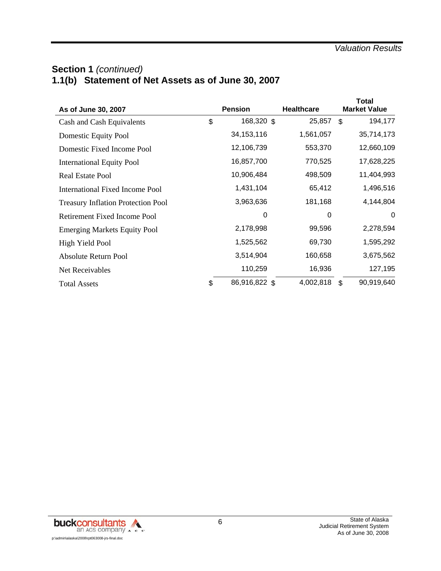# **Section 1** *(continued)* **1.1(b) Statement of Net Assets as of June 30, 2007**

| As of June 30, 2007                       | <b>Pension</b>      | <b>Healthcare</b> | <b>Total</b><br><b>Market Value</b> |
|-------------------------------------------|---------------------|-------------------|-------------------------------------|
| Cash and Cash Equivalents                 | \$<br>168,320 \$    | 25,857            | \$<br>194,177                       |
| Domestic Equity Pool                      | 34, 153, 116        | 1,561,057         | 35,714,173                          |
| Domestic Fixed Income Pool                | 12,106,739          | 553,370           | 12,660,109                          |
| <b>International Equity Pool</b>          | 16,857,700          | 770,525           | 17,628,225                          |
| <b>Real Estate Pool</b>                   | 10,906,484          | 498,509           | 11,404,993                          |
| <b>International Fixed Income Pool</b>    | 1,431,104           | 65,412            | 1,496,516                           |
| <b>Treasury Inflation Protection Pool</b> | 3,963,636           | 181,168           | 4,144,804                           |
| <b>Retirement Fixed Income Pool</b>       | 0                   | 0                 | $\Omega$                            |
| <b>Emerging Markets Equity Pool</b>       | 2,178,998           | 99,596            | 2,278,594                           |
| High Yield Pool                           | 1,525,562           | 69,730            | 1,595,292                           |
| Absolute Return Pool                      | 3,514,904           | 160,658           | 3,675,562                           |
| Net Receivables                           | 110,259             | 16,936            | 127,195                             |
| <b>Total Assets</b>                       | \$<br>86,916,822 \$ | 4,002,818         | \$<br>90,919,640                    |

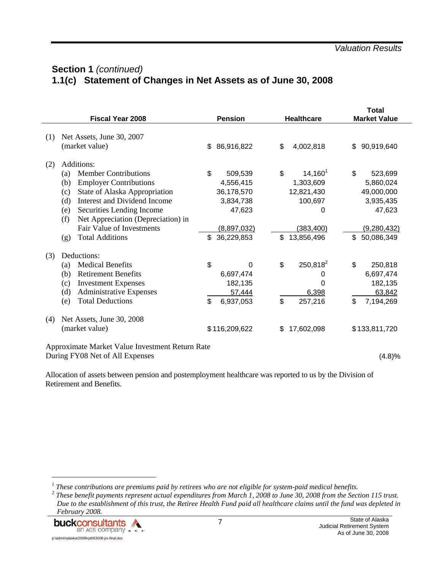# **Section 1** *(continued)* **1.1(c) Statement of Changes in Net Assets as of June 30, 2008**

|     | <b>Fiscal Year 2008</b>                                                                                                                                                                                                                                                                                  |          | <b>Pension</b>                                                                         |          | <b>Healthcare</b>                                                                 |          | Total<br><b>Market Value</b>                                                             |
|-----|----------------------------------------------------------------------------------------------------------------------------------------------------------------------------------------------------------------------------------------------------------------------------------------------------------|----------|----------------------------------------------------------------------------------------|----------|-----------------------------------------------------------------------------------|----------|------------------------------------------------------------------------------------------|
| (1) | Net Assets, June 30, 2007<br>(market value)                                                                                                                                                                                                                                                              | \$       | 86,916,822                                                                             | \$       | 4,002,818                                                                         | \$       | 90,919,640                                                                               |
| (2) | Additions:                                                                                                                                                                                                                                                                                               |          |                                                                                        |          |                                                                                   |          |                                                                                          |
|     | <b>Member Contributions</b><br>(a)<br><b>Employer Contributions</b><br>(b)<br>State of Alaska Appropriation<br>(c)<br>Interest and Dividend Income<br>(d)<br>Securities Lending Income<br>(e)<br>(f)<br>Net Appreciation (Depreciation) in<br>Fair Value of Investments<br><b>Total Additions</b><br>(g) | \$<br>\$ | 509,539<br>4,556,415<br>36,178,570<br>3,834,738<br>47,623<br>(8,897,032)<br>36,229,853 | \$<br>\$ | $14,160^1$<br>1,303,609<br>12,821,430<br>100,697<br>0<br>(383, 400)<br>13,856,496 | \$<br>\$ | 523,699<br>5,860,024<br>49,000,000<br>3,935,435<br>47,623<br>(9, 280, 432)<br>50,086,349 |
| (3) | Deductions:<br><b>Medical Benefits</b><br>(a)<br><b>Retirement Benefits</b><br>(b)<br><b>Investment Expenses</b><br>(c)<br>(d)<br><b>Administrative Expenses</b><br><b>Total Deductions</b><br>(e)                                                                                                       | \$<br>\$ | 0<br>6,697,474<br>182,135<br>57,444<br>6,937,053                                       | \$<br>\$ | 250,818 <sup>2</sup><br>0<br>0<br>6,398<br>257,216                                | \$<br>\$ | 250,818<br>6,697,474<br>182,135<br>63,842<br>7,194,269                                   |
| (4) | Net Assets, June 30, 2008<br>(market value)<br>Approximate Market Value Investment Return Rate                                                                                                                                                                                                           |          | \$116,209,622                                                                          | \$       | 17,602,098                                                                        |          | \$133,811,720                                                                            |

During FY08 Net of All Expenses (4.8)%

Allocation of assets between pension and postemployment healthcare was reported to us by the Division of Retirement and Benefits.

<sup>&</sup>lt;sup>1</sup> These contributions are premiums paid by retirees who are not eligible for system-paid medical benefits.<br><sup>2</sup> These benefit payments represent actual expanditures from March 1, 2008 to June 20, 2008 from the Sect

<sup>&</sup>lt;sup>2</sup> These benefit payments represent actual expenditures from March 1, 2008 to June 30, 2008 from the Section 115 trust. *Due to the establishment of this trust, the Retiree Health Fund paid all healthcare claims until the fund was depleted in February 2008.*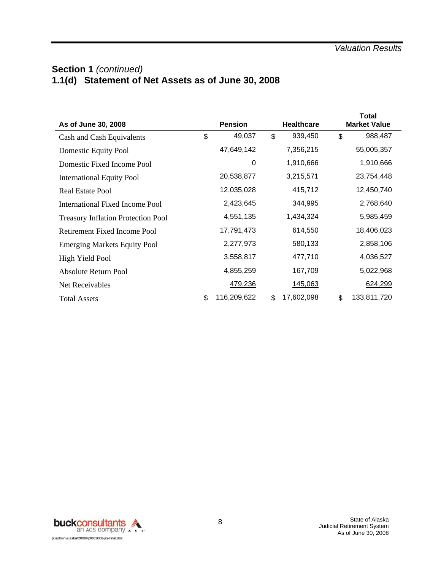# **Section 1** *(continued)* **1.1(d) Statement of Net Assets as of June 30, 2008**

| As of June 30, 2008                       | <b>Pension</b>    | <b>Healthcare</b> | <b>Total</b><br><b>Market Value</b> |
|-------------------------------------------|-------------------|-------------------|-------------------------------------|
| Cash and Cash Equivalents                 | \$<br>49,037      | \$<br>939,450     | \$<br>988,487                       |
| Domestic Equity Pool                      | 47,649,142        | 7,356,215         | 55,005,357                          |
| Domestic Fixed Income Pool                | 0                 | 1,910,666         | 1,910,666                           |
| <b>International Equity Pool</b>          | 20,538,877        | 3,215,571         | 23,754,448                          |
| Real Estate Pool                          | 12,035,028        | 415,712           | 12,450,740                          |
| International Fixed Income Pool           | 2,423,645         | 344,995           | 2,768,640                           |
| <b>Treasury Inflation Protection Pool</b> | 4,551,135         | 1,434,324         | 5,985,459                           |
| Retirement Fixed Income Pool              | 17,791,473        | 614,550           | 18,406,023                          |
| <b>Emerging Markets Equity Pool</b>       | 2,277,973         | 580,133           | 2,858,106                           |
| High Yield Pool                           | 3,558,817         | 477,710           | 4,036,527                           |
| Absolute Return Pool                      | 4,855,259         | 167,709           | 5,022,968                           |
| Net Receivables                           | 479,236           | 145,063           | 624,299                             |
| <b>Total Assets</b>                       | \$<br>116,209,622 | \$<br>17,602,098  | \$<br>133,811,720                   |

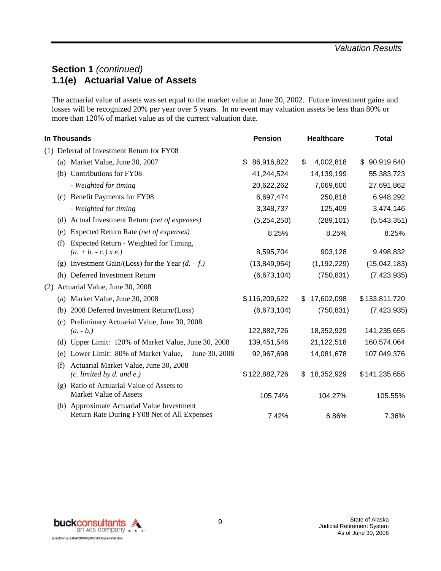# **Section 1** *(continued)* **1.1(e) Actuarial Value of Assets**

The actuarial value of assets was set equal to the market value at June 30, 2002. Future investment gains and losses will be recognized 20% per year over 5 years. In no event may valuation assets be less than 80% or more than 120% of market value as of the current valuation date.

| In Thousands                                                                              | <b>Pension</b>    | <b>Healthcare</b> | <b>Total</b>      |
|-------------------------------------------------------------------------------------------|-------------------|-------------------|-------------------|
| (1) Deferral of Investment Return for FY08                                                |                   |                   |                   |
| (a) Market Value, June 30, 2007                                                           | 86,916,822<br>\$. | 4,002,818<br>\$   | 90,919,640<br>\$. |
| (b) Contributions for FY08                                                                | 41,244,524        | 14,139,199        | 55,383,723        |
| - Weighted for timing                                                                     | 20,622,262        | 7,069,600         | 27,691,862        |
| (c) Benefit Payments for FY08                                                             | 6,697,474         | 250,818           | 6,948,292         |
| - Weighted for timing                                                                     | 3,348,737         | 125,409           | 3,474,146         |
| Actual Investment Return (net of expenses)<br>(d)                                         | (5,254,250)       | (289, 101)        | (5,543,351)       |
| Expected Return Rate (net of expenses)<br>(e)                                             | 8.25%             | 8.25%             | 8.25%             |
| Expected Return - Weighted for Timing,<br>(f)                                             |                   |                   |                   |
| $(a. + b. - c.) \times e.$                                                                | 8,595,704         | 903,128           | 9,498,832         |
| (g) Investment Gain/(Loss) for the Year $(d. -f.)$                                        | (13,849,954)      | (1, 192, 229)     | (15,042,183)      |
| (h) Deferred Investment Return                                                            | (6,673,104)       | (750, 831)        | (7,423,935)       |
| (2) Actuarial Value, June 30, 2008                                                        |                   |                   |                   |
| (a) Market Value, June 30, 2008                                                           | \$116,209,622     | 17,602,098<br>S   | \$133,811,720     |
| 2008 Deferred Investment Return/(Loss)<br>(b)                                             | (6,673,104)       | (750, 831)        | (7, 423, 935)     |
| (c) Preliminary Actuarial Value, June 30, 2008                                            |                   |                   |                   |
| $(a. - b.)$                                                                               | 122,882,726       | 18,352,929        | 141,235,655       |
| (d) Upper Limit: 120% of Market Value, June 30, 2008                                      | 139,451,546       | 21,122,518        | 160,574,064       |
| Lower Limit: 80% of Market Value,<br>June 30, 2008<br>(e)                                 | 92,967,698        | 14,081,678        | 107,049,376       |
| Actuarial Market Value, June 30, 2008<br>(f)<br>$(c.$ limited by d. and e.)               | \$122,882,726     | 18,352,929<br>\$. | \$141,235,655     |
| (g) Ratio of Actuarial Value of Assets to<br><b>Market Value of Assets</b>                | 105.74%           | 104.27%           | 105.55%           |
| (h) Approximate Actuarial Value Investment<br>Return Rate During FY08 Net of All Expenses | 7.42%             | 6.86%             | 7.36%             |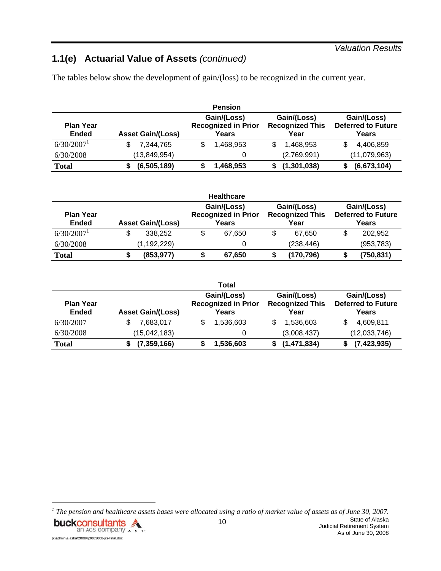#### *Valuation Results*

# **1.1(e) Actuarial Value of Assets** *(continued)*

The tables below show the development of gain/(loss) to be recognized in the current year.

| <b>Pension</b>                   |                          |                                                    |                                               |                                                   |  |  |  |  |
|----------------------------------|--------------------------|----------------------------------------------------|-----------------------------------------------|---------------------------------------------------|--|--|--|--|
| <b>Plan Year</b><br><b>Ended</b> | <b>Asset Gain/(Loss)</b> | Gain/(Loss)<br><b>Recognized in Prior</b><br>Years | Gain/(Loss)<br><b>Recognized This</b><br>Year | Gain/(Loss)<br><b>Deferred to Future</b><br>Years |  |  |  |  |
| 6/30/2007                        | 7,344,765                | \$<br>1.468.953                                    | 1.468.953                                     | 4,406,859                                         |  |  |  |  |
| 6/30/2008                        | (13, 849, 954)           |                                                    | (2,769,991)                                   | (11,079,963)                                      |  |  |  |  |
| <b>Total</b>                     | (6,505,189)              | 1,468,953                                          | (1, 301, 038)                                 | (6,673,104)                                       |  |  |  |  |

|                                  |                          | <b>Healthcare</b>                                  |                                               |                                                   |
|----------------------------------|--------------------------|----------------------------------------------------|-----------------------------------------------|---------------------------------------------------|
| <b>Plan Year</b><br><b>Ended</b> | <b>Asset Gain/(Loss)</b> | Gain/(Loss)<br><b>Recognized in Prior</b><br>Years | Gain/(Loss)<br><b>Recognized This</b><br>Year | Gain/(Loss)<br><b>Deferred to Future</b><br>Years |
| $6/30/2007$ <sup>1</sup>         | \$<br>338.252            | \$<br>67.650                                       | 67.650                                        | 202.952                                           |
| 6/30/2008                        | (1, 192, 229)            |                                                    | (238, 446)                                    | (953, 783)                                        |
| <b>Total</b>                     | (853, 977)               | \$<br>67,650                                       | (170,796)                                     | (750,831)                                         |

|                                  |                          | Total                                              |                                               |                                                   |
|----------------------------------|--------------------------|----------------------------------------------------|-----------------------------------------------|---------------------------------------------------|
| <b>Plan Year</b><br><b>Ended</b> | <b>Asset Gain/(Loss)</b> | Gain/(Loss)<br><b>Recognized in Prior</b><br>Years | Gain/(Loss)<br><b>Recognized This</b><br>Year | Gain/(Loss)<br><b>Deferred to Future</b><br>Years |
| 6/30/2007                        | 7.683.017                | 1,536,603<br>S                                     | 1,536,603                                     | 4,609,811<br>S                                    |
| 6/30/2008                        | (15,042,183)             |                                                    | (3,008,437)                                   | (12,033,746)                                      |
| <b>Total</b>                     | (7, 359, 166)            | 1,536,603                                          | (1, 471, 834)                                 | (7, 423, 935)                                     |

<sup>&</sup>lt;sup>1</sup> The pension and healthcare assets bases were allocated using a ratio of market value of assets as of June 30, 2007.

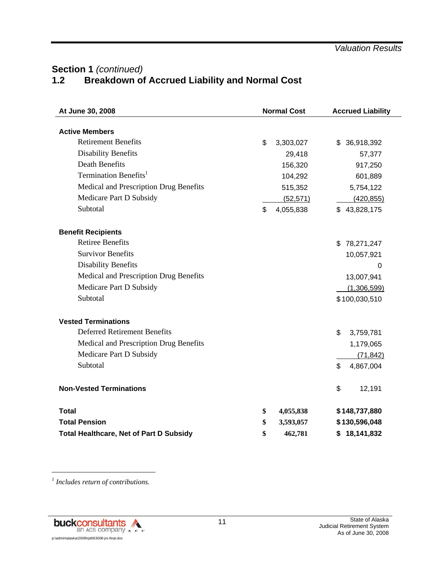# Section 1 (continued)<br>1.2 Breakdown of **1.2 Breakdown of Accrued Liability and Normal Cost**

| At June 30, 2008                               | <b>Normal Cost</b> | <b>Accrued Liability</b> |
|------------------------------------------------|--------------------|--------------------------|
| <b>Active Members</b>                          |                    |                          |
| <b>Retirement Benefits</b>                     |                    |                          |
|                                                | \$<br>3,303,027    | \$ 36,918,392            |
| <b>Disability Benefits</b>                     | 29,418             | 57,377                   |
| <b>Death Benefits</b>                          | 156,320            | 917,250                  |
| Termination Benefits <sup>1</sup>              | 104,292            | 601,889                  |
| Medical and Prescription Drug Benefits         | 515,352            | 5,754,122                |
| Medicare Part D Subsidy                        | (52, 571)          | (420, 855)               |
| Subtotal                                       | \$<br>4,055,838    | \$43,828,175             |
| <b>Benefit Recipients</b>                      |                    |                          |
| <b>Retiree Benefits</b>                        |                    | \$78,271,247             |
| <b>Survivor Benefits</b>                       |                    | 10,057,921               |
| Disability Benefits                            |                    | $\mathbf 0$              |
| Medical and Prescription Drug Benefits         |                    | 13,007,941               |
| Medicare Part D Subsidy                        |                    | (1,306,599)              |
| Subtotal                                       |                    | \$100,030,510            |
| <b>Vested Terminations</b>                     |                    |                          |
| <b>Deferred Retirement Benefits</b>            |                    | \$<br>3,759,781          |
| Medical and Prescription Drug Benefits         |                    | 1,179,065                |
| Medicare Part D Subsidy                        |                    | (71, 842)                |
| Subtotal                                       |                    | \$<br>4,867,004          |
| <b>Non-Vested Terminations</b>                 |                    | \$<br>12,191             |
| <b>Total</b>                                   | \$<br>4,055,838    | \$148,737,880            |
| <b>Total Pension</b>                           | \$<br>3,593,057    | \$130,596,048            |
| <b>Total Healthcare, Net of Part D Subsidy</b> | \$<br>462,781      | \$18,141,832             |

*1 Includes return of contributions.*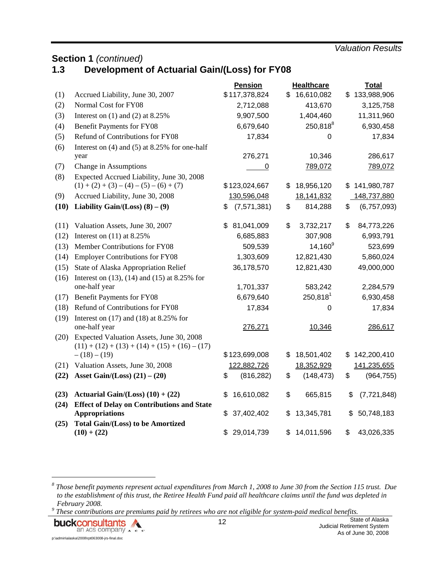*Valuation Results* 

## **Section 1 (continued)**<br>**1.3 Development 1.3 Development of Actuarial Gain/(Loss) for FY08**

|      |                                                                                              | Pension           | <b>Healthcare</b> |                      |    | <b>Total</b>  |
|------|----------------------------------------------------------------------------------------------|-------------------|-------------------|----------------------|----|---------------|
| (1)  | Accrued Liability, June 30, 2007                                                             | \$117,378,824     | \$                | 16,610,082           | \$ | 133,988,906   |
| (2)  | Normal Cost for FY08                                                                         | 2,712,088         |                   | 413,670              |    | 3,125,758     |
| (3)  | Interest on $(1)$ and $(2)$ at 8.25%                                                         | 9,907,500         |                   | 1,404,460            |    | 11,311,960    |
| (4)  | <b>Benefit Payments for FY08</b>                                                             | 6,679,640         |                   | 250,818 <sup>8</sup> |    | 6,930,458     |
| (5)  | Refund of Contributions for FY08                                                             | 17,834            |                   | 0                    |    | 17,834        |
| (6)  | Interest on (4) and (5) at 8.25% for one-half                                                |                   |                   |                      |    |               |
|      | year                                                                                         | 276,271           |                   | 10,346               |    | 286,617       |
| (7)  | Change in Assumptions                                                                        | 0                 |                   | 789,072              |    | 789,072       |
| (8)  | Expected Accrued Liability, June 30, 2008<br>$(1) + (2) + (3) - (4) - (5) - (6) + (7)$       | \$123,024,667     | \$                | 18,956,120           | \$ | 141,980,787   |
| (9)  | Accrued Liability, June 30, 2008                                                             | 130,596,048       |                   | 18,141,832           |    | 148,737,880   |
| (10) | Liability Gain/(Loss) $(8) - (9)$                                                            | \$<br>(7,571,381) | \$                | 814,288              | \$ | (6,757,093)   |
|      |                                                                                              |                   |                   |                      |    |               |
| (11) | Valuation Assets, June 30, 2007                                                              | 81,041,009<br>\$  | \$                | 3,732,217            | \$ | 84,773,226    |
| (12) | Interest on $(11)$ at 8.25%                                                                  | 6,685,883         |                   | 307,908              |    | 6,993,791     |
| (13) | Member Contributions for FY08                                                                | 509,539           |                   | $14,160^9$           |    | 523,699       |
| (14) | <b>Employer Contributions for FY08</b>                                                       | 1,303,609         |                   | 12,821,430           |    | 5,860,024     |
| (15) | State of Alaska Appropriation Relief                                                         | 36,178,570        |                   | 12,821,430           |    | 49,000,000    |
| (16) | Interest on $(13)$ , $(14)$ and $(15)$ at 8.25% for                                          |                   |                   |                      |    |               |
|      | one-half year                                                                                | 1,701,337         |                   | 583,242              |    | 2,284,579     |
| (17) | <b>Benefit Payments for FY08</b>                                                             | 6,679,640         |                   | $250,818^1$          |    | 6,930,458     |
| (18) | Refund of Contributions for FY08                                                             | 17,834            |                   | 0                    |    | 17,834        |
| (19) | Interest on $(17)$ and $(18)$ at 8.25% for                                                   |                   |                   |                      |    |               |
|      | one-half year                                                                                | 276,271           |                   | 10,346               |    | 286,617       |
| (20) | Expected Valuation Assets, June 30, 2008<br>$(11) + (12) + (13) + (14) + (15) + (16) - (17)$ |                   |                   |                      |    |               |
|      | $-(18)-(19)$                                                                                 | \$123,699,008     | \$                | 18,501,402           | \$ | 142,200,410   |
| (21) | Valuation Assets, June 30, 2008                                                              | 122,882,726       |                   | 18,352,929           |    | 141,235,655   |
| (22) | Asset Gain/(Loss) $(21) - (20)$                                                              | \$<br>(816, 282)  | \$                | (148, 473)           | \$ | (964, 755)    |
| (23) | Actuarial Gain/(Loss) $(10) + (22)$                                                          | \$<br>16,610,082  | \$                | 665,815              | \$ | (7, 721, 848) |
| (24) | <b>Effect of Delay on Contributions and State</b>                                            |                   |                   |                      |    |               |
|      | <b>Appropriations</b>                                                                        | 37,402,402<br>\$  | \$                | 13,345,781           | \$ | 50,748,183    |
| (25) | <b>Total Gain/(Loss) to be Amortized</b>                                                     |                   |                   |                      |    |               |
|      | $(10) + (22)$                                                                                | \$<br>29,014,739  | \$                | 14,011,596           | \$ | 43,026,335    |

*8 Those benefit payments represent actual expenditures from March 1, 2008 to June 30 from the Section 115 trust. Due to the establishment of this trust, the Retiree Health Fund paid all healthcare claims until the fund was depleted in February* 2008.

 *These contributions are premiums paid by retirees who are not eligible for system-paid medical benefits.* 

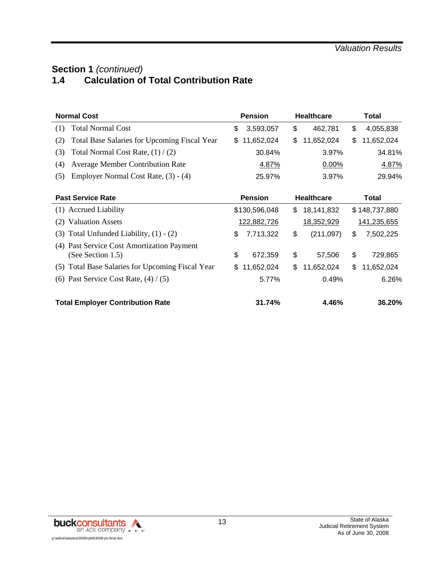# **Section 1** *(continued)*<br>1.4 **Calculation of 1.4 Calculation of Total Contribution Rate**

| <b>Normal Cost</b>                                                 | <b>Pension</b>    | <b>Healthcare</b> | Total            |  |  |
|--------------------------------------------------------------------|-------------------|-------------------|------------------|--|--|
| <b>Total Normal Cost</b><br>(1)                                    | \$<br>3,593,057   | \$<br>462,781     | \$<br>4,055,838  |  |  |
| (2)<br><b>Total Base Salaries for Upcoming Fiscal Year</b>         | 11,652,024<br>\$. | \$<br>11,652,024  | \$<br>11,652,024 |  |  |
| (3)<br>Total Normal Cost Rate, $(1) / (2)$                         | 30.84%            | 3.97%             | 34.81%           |  |  |
| <b>Average Member Contribution Rate</b><br>(4)                     | 4.87%             | 0.00%             | 4.87%            |  |  |
| Employer Normal Cost Rate, (3) - (4)<br>(5)                        | 25.97%            | 3.97%             | 29.94%           |  |  |
| <b>Past Service Rate</b>                                           | <b>Pension</b>    | <b>Healthcare</b> | <b>Total</b>     |  |  |
| (1) Accrued Liability                                              | \$130,596,048     | \$<br>18,141,832  | \$148,737,880    |  |  |
| (2) Valuation Assets                                               | 122,882,726       | 18,352,929        | 141,235,655      |  |  |
| Total Unfunded Liability, $(1) - (2)$<br>(3)                       | \$<br>7,713,322   | \$<br>(211, 097)  | \$<br>7,502,225  |  |  |
| Past Service Cost Amortization Payment<br>(4)<br>(See Section 1.5) | \$<br>672,359     | \$<br>57,506      | \$<br>729,865    |  |  |
| (5) Total Base Salaries for Upcoming Fiscal Year                   | \$.<br>11,652,024 | \$<br>11,652,024  | \$<br>11,652,024 |  |  |
| (6) Past Service Cost Rate, $(4) / (5)$                            | 5.77%             | 0.49%             | 6.26%            |  |  |
| <b>Total Employer Contribution Rate</b>                            | 31.74%            | 4.46%             | 36.20%           |  |  |

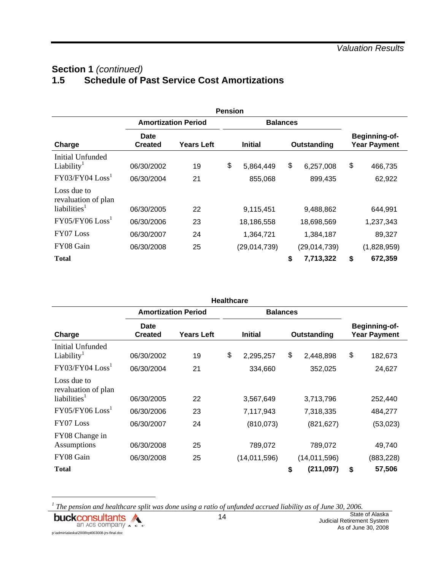# Section 1 (continued)<br>1.5 Schedule of P **1.5 Schedule of Past Service Cost Amortizations**

|                                                                   |                          |                            | <b>Pension</b> |                      |                            |                                             |                   |  |
|-------------------------------------------------------------------|--------------------------|----------------------------|----------------|----------------------|----------------------------|---------------------------------------------|-------------------|--|
|                                                                   |                          | <b>Amortization Period</b> |                | <b>Balances</b>      |                            |                                             |                   |  |
| Charge                                                            | Date<br><b>Created</b>   | Years Left                 |                | <b>Initial</b>       | Outstanding                | <b>Beginning-of-</b><br><b>Year Payment</b> |                   |  |
| Initial Unfunded<br>Liability <sup>1</sup><br>$FY03/FY04$ $Loss1$ | 06/30/2002<br>06/30/2004 | 19<br>21                   | \$             | 5,864,449<br>855,068 | \$<br>6,257,008<br>899,435 | \$                                          | 466,735<br>62,922 |  |
| Loss due to<br>revaluation of plan<br>liabilities <sup>1</sup>    | 06/30/2005               | 22                         |                | 9,115,451            | 9,488,862                  |                                             | 644,991           |  |
| $FY05/FY06$ $Loss1$                                               | 06/30/2006               | 23                         |                | 18,186,558           | 18,698,569                 |                                             | 1,237,343         |  |
| FY07 Loss                                                         | 06/30/2007               | 24                         |                | 1,364,721            | 1,384,187                  |                                             | 89,327            |  |
| FY08 Gain                                                         | 06/30/2008               | 25                         |                | (29,014,739)         | (29,014,739)               |                                             | (1,828,959)       |  |
| <b>Total</b>                                                      |                          |                            |                |                      | \$<br>7,713,322            | \$                                          | 672,359           |  |

|                                                                |                               |                            | <b>Healthcare</b> |                 |                  |                                      |
|----------------------------------------------------------------|-------------------------------|----------------------------|-------------------|-----------------|------------------|--------------------------------------|
|                                                                |                               | <b>Amortization Period</b> |                   | <b>Balances</b> |                  |                                      |
| Charge                                                         | <b>Date</b><br><b>Created</b> | <b>Years Left</b>          |                   | <b>Initial</b>  | Outstanding      | Beginning-of-<br><b>Year Payment</b> |
| Initial Unfunded<br>Liability <sup>1</sup>                     | 06/30/2002                    | 19                         | \$                | 2,295,257       | \$<br>2,448,898  | \$<br>182,673                        |
| $FY03/FY04$ $Loss1$                                            | 06/30/2004                    | 21                         |                   | 334,660         | 352,025          | 24,627                               |
| Loss due to<br>revaluation of plan<br>liabilities <sup>1</sup> | 06/30/2005                    | 22                         |                   | 3,567,649       | 3,713,796        | 252,440                              |
| $FY05/FY06$ $Loss1$                                            | 06/30/2006                    | 23                         |                   | 7,117,943       | 7,318,335        | 484,277                              |
| FY07 Loss                                                      | 06/30/2007                    | 24                         |                   | (810,073)       | (821, 627)       | (53,023)                             |
| FY08 Change in<br>Assumptions                                  | 06/30/2008                    | 25                         |                   | 789,072         | 789,072          | 49,740                               |
| FY08 Gain                                                      | 06/30/2008                    | 25                         |                   | (14, 011, 596)  | (14, 011, 596)   | (883, 228)                           |
| <b>Total</b>                                                   |                               |                            |                   |                 | \$<br>(211, 097) | \$<br>57,506                         |

<sup>1</sup> The pension and healthcare split was done using a ratio of unfunded accrued liability as of June 30, 2006.

**buckconsultants** p:\admin\alaska\2008\rpt063008-jrs-final.doc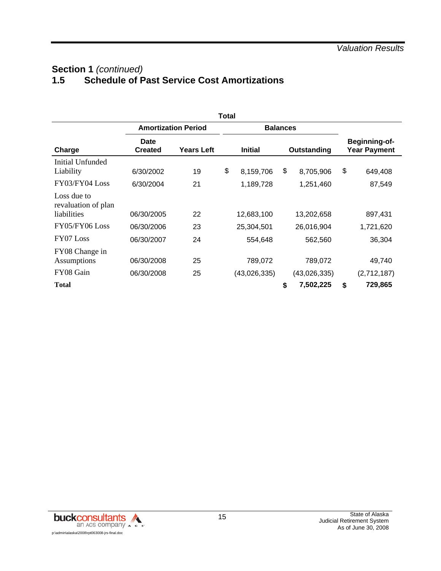# Section 1 (continued)<br>1.5 **Schedule of P 1.5 Schedule of Past Service Cost Amortizations**

|                                                   | Total                  |                            |    |                 |    |              |    |                                      |  |  |  |  |  |
|---------------------------------------------------|------------------------|----------------------------|----|-----------------|----|--------------|----|--------------------------------------|--|--|--|--|--|
|                                                   |                        | <b>Amortization Period</b> |    | <b>Balances</b> |    |              |    |                                      |  |  |  |  |  |
| Charge                                            | Date<br><b>Created</b> | <b>Years Left</b>          |    | <b>Initial</b>  |    | Outstanding  |    | Beginning-of-<br><b>Year Payment</b> |  |  |  |  |  |
| Initial Unfunded<br>Liability                     | 6/30/2002              | 19                         | \$ | 8,159,706       | \$ | 8,705,906    | \$ | 649,408                              |  |  |  |  |  |
| FY03/FY04 Loss                                    | 6/30/2004              | 21                         |    | 1,189,728       |    | 1,251,460    |    | 87,549                               |  |  |  |  |  |
| Loss due to<br>revaluation of plan<br>liabilities | 06/30/2005             | 22                         |    | 12,683,100      |    | 13,202,658   |    | 897,431                              |  |  |  |  |  |
| FY05/FY06 Loss                                    | 06/30/2006             | 23                         |    | 25,304,501      |    | 26,016,904   |    | 1,721,620                            |  |  |  |  |  |
| FY07 Loss                                         | 06/30/2007             | 24                         |    | 554,648         |    | 562,560      |    | 36,304                               |  |  |  |  |  |
| FY08 Change in<br>Assumptions                     | 06/30/2008             | 25                         |    | 789,072         |    | 789,072      |    | 49,740                               |  |  |  |  |  |
| FY08 Gain                                         | 06/30/2008             | 25                         |    | (43,026,335)    |    | (43,026,335) |    | (2,712,187)                          |  |  |  |  |  |
| <b>Total</b>                                      |                        |                            |    |                 | \$ | 7,502,225    | \$ | 729,865                              |  |  |  |  |  |

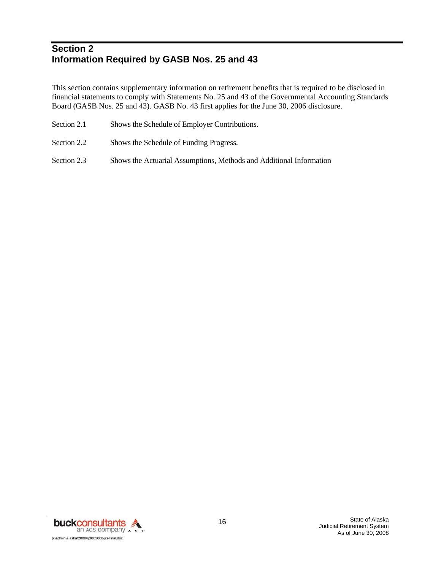# **Section 2 Information Required by GASB Nos. 25 and 43**

This section contains supplementary information on retirement benefits that is required to be disclosed in financial statements to comply with Statements No. 25 and 43 of the Governmental Accounting Standards Board (GASB Nos. 25 and 43). GASB No. 43 first applies for the June 30, 2006 disclosure.

- Section 2.1 Shows the Schedule of Employer Contributions.
- Section 2.2 Shows the Schedule of Funding Progress.
- Section 2.3 Shows the Actuarial Assumptions, Methods and Additional Information

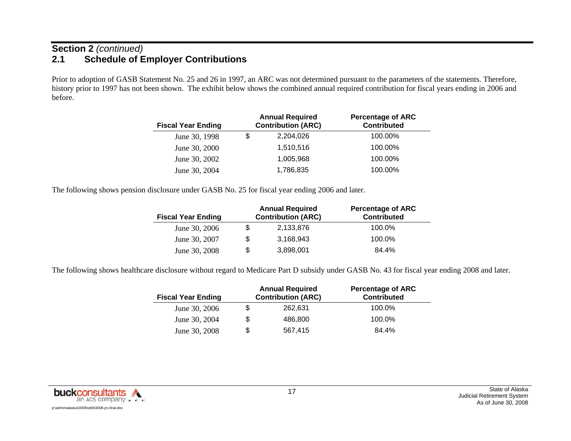### **Section 2** *(continued)* **2.1 Schedule of Employer Contributions**

Prior to adoption of GASB Statement No. 25 and 26 in 1997, an ARC was not determined pursuant to the parameters of the statements. Therefore, history prior to 1997 has not been shown. The exhibit below shows the combined annual required contribution for fiscal years ending in 2006 and before.

| <b>Fiscal Year Ending</b> | <b>Annual Required</b><br><b>Contribution (ARC)</b> | <b>Percentage of ARC</b><br><b>Contributed</b> |
|---------------------------|-----------------------------------------------------|------------------------------------------------|
| June 30, 1998             | \$<br>2,204,026                                     | 100.00%                                        |
| June 30, 2000             | 1,510,516                                           | 100.00%                                        |
| June 30, 2002             | 1,005,968                                           | 100.00%                                        |
| June 30, 2004             | 1,786,835                                           | 100.00%                                        |

The following shows pension disclosure under GASB No. 25 for fiscal year ending 2006 and later.

| <b>Fiscal Year Ending</b> |    | <b>Annual Required</b><br><b>Contribution (ARC)</b> | <b>Percentage of ARC</b><br><b>Contributed</b> |
|---------------------------|----|-----------------------------------------------------|------------------------------------------------|
| June 30, 2006             | S  | 2,133,876                                           | 100.0%                                         |
| June 30, 2007             | \$ | 3.168.943                                           | 100.0%                                         |
| June 30, 2008             | \$ | 3,898,001                                           | 84.4%                                          |

The following shows healthcare disclosure without regard to Medicare Part D subsidy under GASB No. 43 for fiscal year ending 2008 and later.

| <b>Fiscal Year Ending</b> |    | <b>Annual Required</b><br><b>Contribution (ARC)</b> | <b>Percentage of ARC</b><br><b>Contributed</b> |
|---------------------------|----|-----------------------------------------------------|------------------------------------------------|
| June 30, 2006             |    | 262.631                                             | 100.0%                                         |
| June 30, 2004             | \$ | 486,800                                             | 100.0%                                         |
| June 30, 2008             | S  | 567.415                                             | 84.4%                                          |

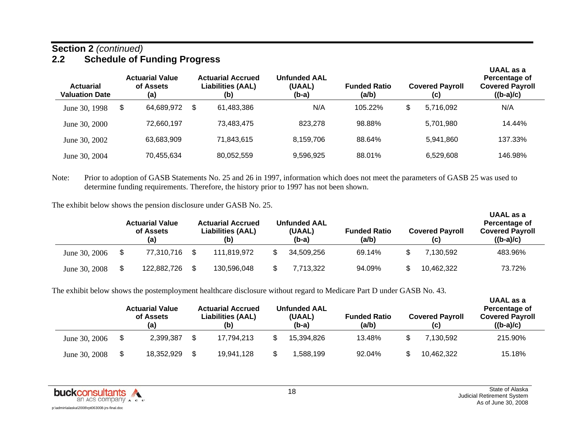### **Section 2** *(continued)* **2.2 Schedule of Funding Progress**

| <b>Actuarial</b><br><b>Valuation Date</b> | <b>Actuarial Value</b><br>of Assets<br>(a) | <b>Actuarial Accrued</b><br><b>Liabilities (AAL)</b><br>(b) | <b>Unfunded AAL</b><br>(UAAL)<br>$(b-a)$ | <b>Funded Ratio</b><br>(a/b) | <b>Covered Payroll</b><br>(c) | UAAL as a<br>Percentage of<br><b>Covered Payroll</b><br>$((b-a)/c)$ |
|-------------------------------------------|--------------------------------------------|-------------------------------------------------------------|------------------------------------------|------------------------------|-------------------------------|---------------------------------------------------------------------|
| June 30, 1998                             | \$<br>64.689.972                           | \$<br>61,483,386                                            | N/A                                      | 105.22%                      | \$<br>5.716.092               | N/A                                                                 |
| June 30, 2000                             | 72.660.197                                 | 73.483.475                                                  | 823,278                                  | 98.88%                       | 5.701.980                     | 14.44%                                                              |
| June 30, 2002                             | 63,683,909                                 | 71.843.615                                                  | 8,159,706                                | 88.64%                       | 5.941.860                     | 137.33%                                                             |
| June 30, 2004                             | 70,455,634                                 | 80,052,559                                                  | 9,596,925                                | 88.01%                       | 6,529,608                     | 146.98%                                                             |

Note: Prior to adoption of GASB Statements No. 25 and 26 in 1997, information which does not meet the parameters of GASB 25 was used to determine funding requirements. Therefore, the history prior to 1997 has not been shown.

The exhibit below shows the pension disclosure under GASB No. 25.

|               | <b>Actuarial Value</b><br>of Assets<br>(a) | <b>Actuarial Accrued</b><br><b>Liabilities (AAL)</b><br>(b) | <b>Unfunded AAL</b><br>(UAAL)<br>$(b-a)$ | <b>Funded Ratio</b><br>(a/b) | <b>Covered Payroll</b><br>(c) | UAAL as a<br>Percentage of<br><b>Covered Payroll</b><br>$((b-a)/c)$ |
|---------------|--------------------------------------------|-------------------------------------------------------------|------------------------------------------|------------------------------|-------------------------------|---------------------------------------------------------------------|
| June 30, 2006 | \$<br>77.310.716                           | 111.819.972                                                 | 34,509,256                               | 69.14%                       | 7.130.592                     | 483.96%                                                             |
| June 30, 2008 | \$<br>122,882,726                          | 130,596,048                                                 | 7.713.322                                | 94.09%                       | 10,462,322                    | 73.72%                                                              |

The exhibit below shows the postemployment healthcare disclosure without regard to Medicare Part D under GASB No. 43.

|               | <b>Actuarial Value</b><br>of Assets<br>(a) | <b>Actuarial Accrued</b><br><b>Liabilities (AAL)</b><br>(b) | <b>Unfunded AAL</b><br>(UAAL)<br>$(b-a)$ | <b>Funded Ratio</b><br>(a/b) | <b>Covered Payroll</b><br>(c) | UAAL as a<br>Percentage of<br><b>Covered Payroll</b><br>$((b-a)/c)$ |
|---------------|--------------------------------------------|-------------------------------------------------------------|------------------------------------------|------------------------------|-------------------------------|---------------------------------------------------------------------|
| June 30, 2006 | \$<br>2,399,387                            | 17.794.213                                                  | 15,394,826                               | 13.48%                       | 7.130.592                     | 215.90%                                                             |
| June 30, 2008 | \$<br>18,352,929                           | 19,941,128                                                  | .588.199                                 | 92.04%                       | 10,462,322                    | 15.18%                                                              |

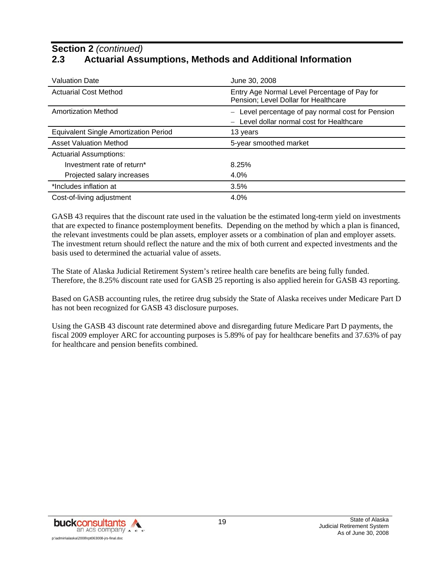## **Section 2** *(continued)* **2.3 Actuarial Assumptions, Methods and Additional Information**

| <b>Valuation Date</b>                 | June 30, 2008                                                                                                          |
|---------------------------------------|------------------------------------------------------------------------------------------------------------------------|
| <b>Actuarial Cost Method</b>          | Entry Age Normal Level Percentage of Pay for<br>Pension; Level Dollar for Healthcare                                   |
| <b>Amortization Method</b>            | Level percentage of pay normal cost for Pension<br>$\overline{\phantom{m}}$<br>Level dollar normal cost for Healthcare |
| Equivalent Single Amortization Period | 13 years                                                                                                               |
|                                       |                                                                                                                        |
| <b>Asset Valuation Method</b>         | 5-year smoothed market                                                                                                 |
| <b>Actuarial Assumptions:</b>         |                                                                                                                        |
| Investment rate of return*            | 8.25%                                                                                                                  |
| Projected salary increases            | 4.0%                                                                                                                   |
| *Includes inflation at                | 3.5%                                                                                                                   |

GASB 43 requires that the discount rate used in the valuation be the estimated long-term yield on investments that are expected to finance postemployment benefits. Depending on the method by which a plan is financed, the relevant investments could be plan assets, employer assets or a combination of plan and employer assets. The investment return should reflect the nature and the mix of both current and expected investments and the basis used to determined the actuarial value of assets.

The State of Alaska Judicial Retirement System's retiree health care benefits are being fully funded. Therefore, the 8.25% discount rate used for GASB 25 reporting is also applied herein for GASB 43 reporting.

Based on GASB accounting rules, the retiree drug subsidy the State of Alaska receives under Medicare Part D has not been recognized for GASB 43 disclosure purposes.

Using the GASB 43 discount rate determined above and disregarding future Medicare Part D payments, the fiscal 2009 employer ARC for accounting purposes is 5.89% of pay for healthcare benefits and 37.63% of pay for healthcare and pension benefits combined.

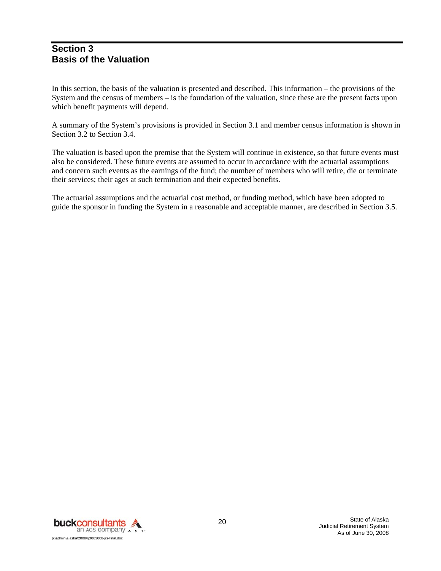### **Section 3 Basis of the Valuation**

In this section, the basis of the valuation is presented and described. This information – the provisions of the System and the census of members – is the foundation of the valuation, since these are the present facts upon which benefit payments will depend.

A summary of the System's provisions is provided in Section 3.1 and member census information is shown in Section 3.2 to Section 3.4.

The valuation is based upon the premise that the System will continue in existence, so that future events must also be considered. These future events are assumed to occur in accordance with the actuarial assumptions and concern such events as the earnings of the fund; the number of members who will retire, die or terminate their services; their ages at such termination and their expected benefits.

The actuarial assumptions and the actuarial cost method, or funding method, which have been adopted to guide the sponsor in funding the System in a reasonable and acceptable manner, are described in Section 3.5.

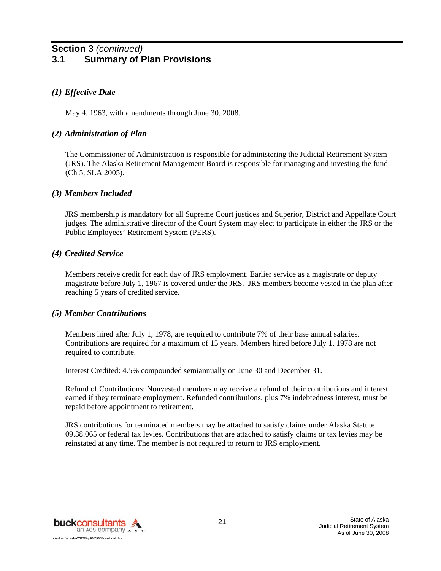### **Section 3** *(continued)* **3.1 Summary of Plan Provisions**

### *(1) Effective Date*

May 4, 1963, with amendments through June 30, 2008.

#### *(2) Administration of Plan*

The Commissioner of Administration is responsible for administering the Judicial Retirement System (JRS). The Alaska Retirement Management Board is responsible for managing and investing the fund (Ch 5, SLA 2005).

#### *(3) Members Included*

JRS membership is mandatory for all Supreme Court justices and Superior, District and Appellate Court judges. The administrative director of the Court System may elect to participate in either the JRS or the Public Employees' Retirement System (PERS).

### *(4) Credited Service*

Members receive credit for each day of JRS employment. Earlier service as a magistrate or deputy magistrate before July 1, 1967 is covered under the JRS. JRS members become vested in the plan after reaching 5 years of credited service.

#### *(5) Member Contributions*

Members hired after July 1, 1978, are required to contribute 7% of their base annual salaries. Contributions are required for a maximum of 15 years. Members hired before July 1, 1978 are not required to contribute.

Interest Credited: 4.5% compounded semiannually on June 30 and December 31.

Refund of Contributions: Nonvested members may receive a refund of their contributions and interest earned if they terminate employment. Refunded contributions, plus 7% indebtedness interest, must be repaid before appointment to retirement.

JRS contributions for terminated members may be attached to satisfy claims under Alaska Statute 09.38.065 or federal tax levies. Contributions that are attached to satisfy claims or tax levies may be reinstated at any time. The member is not required to return to JRS employment.

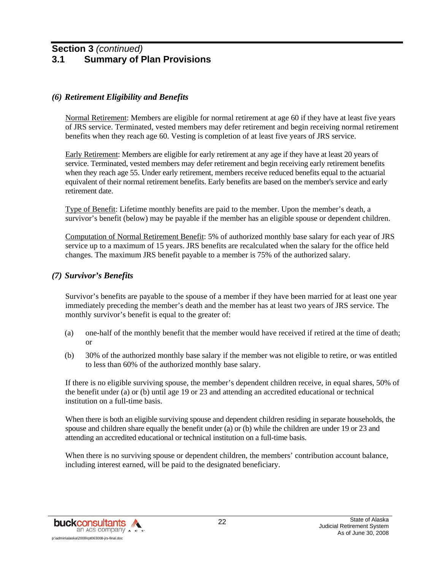### **Section 3** *(continued)* **3.1 Summary of Plan Provisions**

### *(6) Retirement Eligibility and Benefits*

Normal Retirement: Members are eligible for normal retirement at age 60 if they have at least five years of JRS service. Terminated, vested members may defer retirement and begin receiving normal retirement benefits when they reach age 60. Vesting is completion of at least five years of JRS service.

Early Retirement: Members are eligible for early retirement at any age if they have at least 20 years of service. Terminated, vested members may defer retirement and begin receiving early retirement benefits when they reach age 55. Under early retirement, members receive reduced benefits equal to the actuarial equivalent of their normal retirement benefits. Early benefits are based on the member's service and early retirement date.

Type of Benefit: Lifetime monthly benefits are paid to the member. Upon the member's death, a survivor's benefit (below) may be payable if the member has an eligible spouse or dependent children.

Computation of Normal Retirement Benefit: 5% of authorized monthly base salary for each year of JRS service up to a maximum of 15 years. JRS benefits are recalculated when the salary for the office held changes. The maximum JRS benefit payable to a member is 75% of the authorized salary.

### *(7) Survivor's Benefits*

Survivor's benefits are payable to the spouse of a member if they have been married for at least one year immediately preceding the member's death and the member has at least two years of JRS service. The monthly survivor's benefit is equal to the greater of:

- (a) one-half of the monthly benefit that the member would have received if retired at the time of death; or
- (b) 30% of the authorized monthly base salary if the member was not eligible to retire, or was entitled to less than 60% of the authorized monthly base salary.

If there is no eligible surviving spouse, the member's dependent children receive, in equal shares, 50% of the benefit under (a) or (b) until age 19 or 23 and attending an accredited educational or technical institution on a full-time basis.

When there is both an eligible surviving spouse and dependent children residing in separate households, the spouse and children share equally the benefit under (a) or (b) while the children are under 19 or 23 and attending an accredited educational or technical institution on a full-time basis.

When there is no surviving spouse or dependent children, the members' contribution account balance, including interest earned, will be paid to the designated beneficiary.

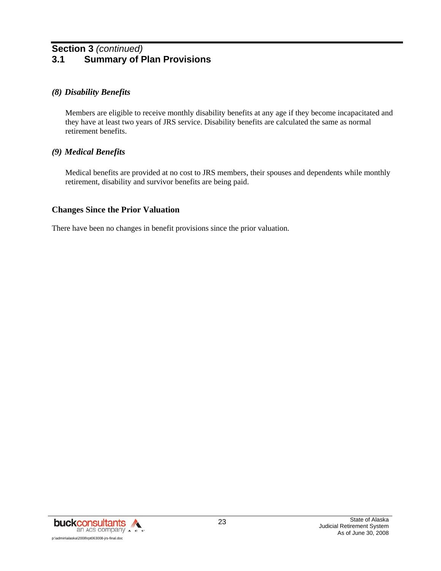# **Section 3** *(continued)* **3.1 Summary of Plan Provisions**

#### *(8) Disability Benefits*

Members are eligible to receive monthly disability benefits at any age if they become incapacitated and they have at least two years of JRS service. Disability benefits are calculated the same as normal retirement benefits.

#### *(9) Medical Benefits*

Medical benefits are provided at no cost to JRS members, their spouses and dependents while monthly retirement, disability and survivor benefits are being paid.

#### **Changes Since the Prior Valuation**

There have been no changes in benefit provisions since the prior valuation.

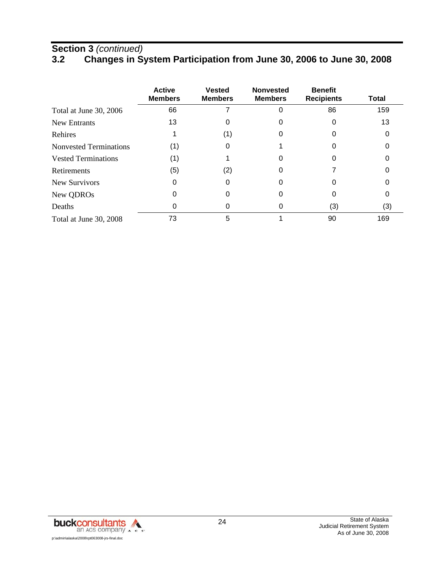## **Section 3** *(continued)*

# **3.2 Changes in System Participation from June 30, 2006 to June 30, 2008**

|                            | <b>Active</b><br><b>Members</b> | <b>Vested</b><br><b>Members</b> | <b>Nonvested</b><br><b>Members</b> | <b>Benefit</b><br><b>Recipients</b> | Total |
|----------------------------|---------------------------------|---------------------------------|------------------------------------|-------------------------------------|-------|
| Total at June 30, 2006     | 66                              |                                 | 0                                  | 86                                  | 159   |
| <b>New Entrants</b>        | 13                              |                                 |                                    |                                     | 13    |
| Rehires                    |                                 | (1)                             |                                    |                                     |       |
| Nonvested Terminations     | (1)                             |                                 |                                    |                                     |       |
| <b>Vested Terminations</b> | (1)                             |                                 | 0                                  |                                     |       |
| <b>Retirements</b>         | (5)                             | (2)                             | 0                                  |                                     |       |
| New Survivors              | 0                               |                                 | 0                                  |                                     |       |
| New QDROs                  | O                               |                                 |                                    |                                     |       |
| Deaths                     | O                               |                                 | 0                                  | (3)                                 | (3)   |
| Total at June 30, 2008     | 73                              | 5                               |                                    | 90                                  | 169   |

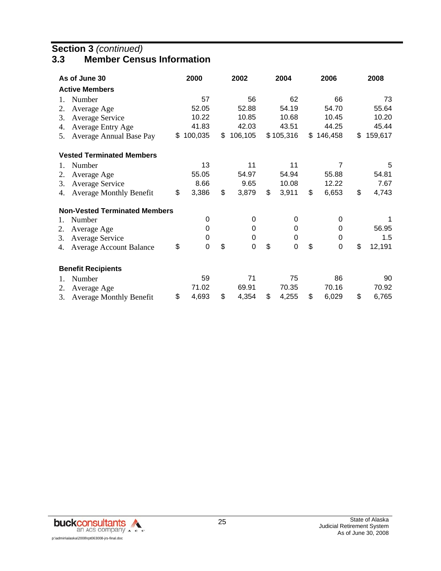## **Section 3** *(continued)*

### **3.3 Member Census Information**

|                | As of June 30                        | 2000              | 2002          | 2004        | 2006          | 2008          |
|----------------|--------------------------------------|-------------------|---------------|-------------|---------------|---------------|
|                | <b>Active Members</b>                |                   |               |             |               |               |
| 1.             | Number                               | 57                | 56            | 62          | 66            | 73            |
| 2.             | Average Age                          | 52.05             | 52.88         | 54.19       | 54.70         | 55.64         |
| 3.             | <b>Average Service</b>               | 10.22             | 10.85         | 10.68       | 10.45         | 10.20         |
| 4.             | Average Entry Age                    | 41.83             | 42.03         | 43.51       | 44.25         | 45.44         |
| 5.             | Average Annual Base Pay              | \$<br>100,035     | \$<br>106,105 | \$105,316   | \$<br>146,458 | \$<br>159,617 |
|                | <b>Vested Terminated Members</b>     |                   |               |             |               |               |
| 1.             | Number                               | 13                | 11            | 11          | 7             | 5             |
| 2.             | Average Age                          | 55.05             | 54.97         | 54.94       | 55.88         | 54.81         |
| 3.             | <b>Average Service</b>               | 8.66              | 9.65          | 10.08       | 12.22         | 7.67          |
| 4.             | <b>Average Monthly Benefit</b>       | \$<br>3,386       | \$<br>3,879   | \$<br>3,911 | \$<br>6,653   | \$<br>4,743   |
|                | <b>Non-Vested Terminated Members</b> |                   |               |             |               |               |
| 1.             | Number                               | 0                 | 0             | 0           | 0             |               |
| 2.             | Average Age                          | $\mathbf 0$       | 0             | 0           | 0             | 56.95         |
| 3.             | <b>Average Service</b>               | 0                 | 0             | 0           | 0             | 1.5           |
| 4.             | <b>Average Account Balance</b>       | \$<br>$\mathbf 0$ | \$<br>0       | \$<br>0     | \$<br>0       | \$<br>12,191  |
|                | <b>Benefit Recipients</b>            |                   |               |             |               |               |
| $\mathbf{1}$ . | Number                               | 59                | 71            | 75          | 86            | 90            |
| 2.             | Average Age                          | 71.02             | 69.91         | 70.35       | 70.16         | 70.92         |
| 3.             | <b>Average Monthly Benefit</b>       | \$<br>4,693       | \$<br>4,354   | \$<br>4,255 | \$<br>6,029   | \$<br>6,765   |

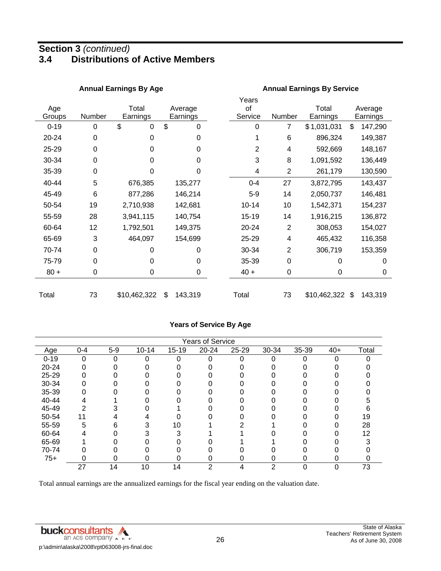# **Section 3** *(continued)* **3.4 Distributions of Active Members**

|               |        | <b>Annual Earnings By Age</b> |                     |                        | <b>Annual Earnings By Service</b> |                   |                     |  |  |  |
|---------------|--------|-------------------------------|---------------------|------------------------|-----------------------------------|-------------------|---------------------|--|--|--|
| Age<br>Groups | Number | Total<br>Earnings             | Average<br>Earnings | Years<br>οf<br>Service | Number                            | Total<br>Earnings | Average<br>Earnings |  |  |  |
| $0 - 19$      | 0      | \$<br>0                       | \$<br>0             | 0                      | 7                                 | \$1,031,031       | \$<br>147,290       |  |  |  |
| 20-24         | 0      | 0                             | 0                   |                        | 6                                 | 896,324           | 149,387             |  |  |  |
| 25-29         | 0      | 0                             | 0                   | 2                      | 4                                 | 592,669           | 148,167             |  |  |  |
| 30-34         | 0      | 0                             | 0                   | 3                      | 8                                 | 1,091,592         | 136,449             |  |  |  |
| 35-39         | 0      | 0                             | 0                   | 4                      | $\overline{2}$                    | 261,179           | 130,590             |  |  |  |
| 40-44         | 5      | 676,385                       | 135,277             | $0 - 4$                | 27                                | 3,872,795         | 143,437             |  |  |  |
| 45-49         | 6      | 877,286                       | 146,214             | $5-9$                  | 14                                | 2,050,737         | 146,481             |  |  |  |
| 50-54         | 19     | 2,710,938                     | 142,681             | $10 - 14$              | 10                                | 1,542,371         | 154,237             |  |  |  |
| 55-59         | 28     | 3,941,115                     | 140,754             | 15-19                  | 14                                | 1,916,215         | 136,872             |  |  |  |
| 60-64         | 12     | 1,792,501                     | 149,375             | 20-24                  | $\overline{2}$                    | 308,053           | 154,027             |  |  |  |
| 65-69         | 3      | 464,097                       | 154,699             | 25-29                  | 4                                 | 465,432           | 116,358             |  |  |  |
| 70-74         | 0      | $\Omega$                      | 0                   | 30-34                  | $\overline{2}$                    | 306,719           | 153,359             |  |  |  |
| 75-79         | 0      | 0                             | 0                   | 35-39                  | $\mathbf 0$                       | 0                 | 0                   |  |  |  |
| $80 +$        | 0      | 0                             | 0                   | $40 +$                 | $\mathbf 0$                       | 0                 | 0                   |  |  |  |
| Total         | 73     | \$10,462,322                  | \$<br>143,319       | Total                  | 73                                | \$10,462,322      | \$<br>143,319       |  |  |  |

#### **Years of Service By Age**

| <b>Years of Service</b> |          |       |           |           |       |       |       |       |       |                   |
|-------------------------|----------|-------|-----------|-----------|-------|-------|-------|-------|-------|-------------------|
| Age                     | $0 - 4$  | $5-9$ | $10 - 14$ | $15 - 19$ | 20-24 | 25-29 | 30-34 | 35-39 | $40+$ | Total             |
| $0 - 19$                | $\Omega$ | 0     |           | ∩         |       | U     |       |       |       |                   |
| 20-24                   |          |       |           |           |       |       |       |       |       |                   |
| 25-29                   | O        |       |           |           |       |       |       |       |       |                   |
| 30-34                   |          |       |           |           |       |       |       |       |       |                   |
| 35-39                   |          |       |           |           |       |       |       |       |       |                   |
| 40-44                   |          |       |           |           |       |       |       |       |       |                   |
| 45-49                   | 2        |       |           |           |       |       |       |       |       |                   |
| 50-54                   |          |       |           |           |       |       |       |       |       | 19                |
| 55-59                   | 5        | 6     |           | 10        |       |       |       |       |       | 28                |
| 60-64                   | 4        |       |           |           |       |       |       |       |       | $12 \overline{ }$ |
| 65-69                   |          |       |           |           |       |       |       |       |       |                   |
| 70-74                   |          |       |           |           |       |       |       |       |       |                   |
| $75+$                   | 0        |       | n         |           |       |       |       | 0     |       |                   |
|                         | 27       | 14    | 10        | 14        | っ     | 4     | າ     | 0     |       | 73                |

Total annual earnings are the annualized earnings for the fiscal year ending on the valuation date.

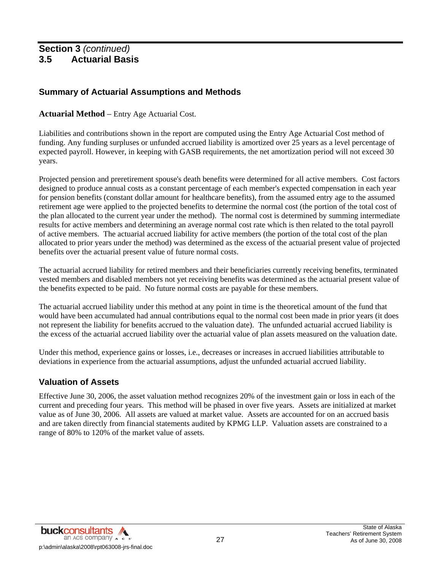### **Summary of Actuarial Assumptions and Methods**

#### **Actuarial Method** – Entry Age Actuarial Cost.

Liabilities and contributions shown in the report are computed using the Entry Age Actuarial Cost method of funding. Any funding surpluses or unfunded accrued liability is amortized over 25 years as a level percentage of expected payroll. However, in keeping with GASB requirements, the net amortization period will not exceed 30 years.

Projected pension and preretirement spouse's death benefits were determined for all active members. Cost factors designed to produce annual costs as a constant percentage of each member's expected compensation in each year for pension benefits (constant dollar amount for healthcare benefits), from the assumed entry age to the assumed retirement age were applied to the projected benefits to determine the normal cost (the portion of the total cost of the plan allocated to the current year under the method). The normal cost is determined by summing intermediate results for active members and determining an average normal cost rate which is then related to the total payroll of active members. The actuarial accrued liability for active members (the portion of the total cost of the plan allocated to prior years under the method) was determined as the excess of the actuarial present value of projected benefits over the actuarial present value of future normal costs.

The actuarial accrued liability for retired members and their beneficiaries currently receiving benefits, terminated vested members and disabled members not yet receiving benefits was determined as the actuarial present value of the benefits expected to be paid. No future normal costs are payable for these members.

The actuarial accrued liability under this method at any point in time is the theoretical amount of the fund that would have been accumulated had annual contributions equal to the normal cost been made in prior years (it does not represent the liability for benefits accrued to the valuation date). The unfunded actuarial accrued liability is the excess of the actuarial accrued liability over the actuarial value of plan assets measured on the valuation date.

Under this method, experience gains or losses, i.e., decreases or increases in accrued liabilities attributable to deviations in experience from the actuarial assumptions, adjust the unfunded actuarial accrued liability.

### **Valuation of Assets**

Effective June 30, 2006, the asset valuation method recognizes 20% of the investment gain or loss in each of the current and preceding four years. This method will be phased in over five years. Assets are initialized at market value as of June 30, 2006. All assets are valued at market value. Assets are accounted for on an accrued basis and are taken directly from financial statements audited by KPMG LLP. Valuation assets are constrained to a range of 80% to 120% of the market value of assets.

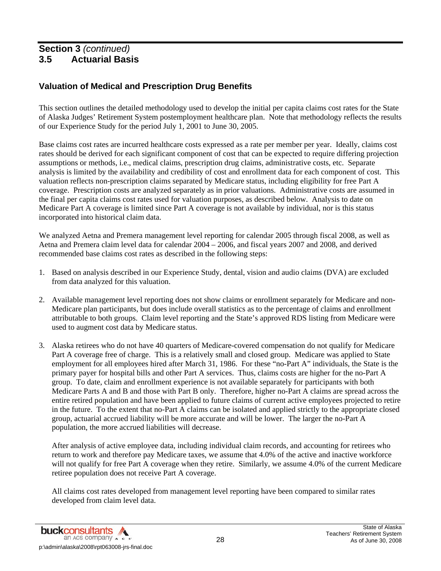## **Valuation of Medical and Prescription Drug Benefits**

This section outlines the detailed methodology used to develop the initial per capita claims cost rates for the State of Alaska Judges' Retirement System postemployment healthcare plan. Note that methodology reflects the results of our Experience Study for the period July 1, 2001 to June 30, 2005.

Base claims cost rates are incurred healthcare costs expressed as a rate per member per year. Ideally, claims cost rates should be derived for each significant component of cost that can be expected to require differing projection assumptions or methods, i.e., medical claims, prescription drug claims, administrative costs, etc. Separate analysis is limited by the availability and credibility of cost and enrollment data for each component of cost. This valuation reflects non-prescription claims separated by Medicare status, including eligibility for free Part A coverage. Prescription costs are analyzed separately as in prior valuations. Administrative costs are assumed in the final per capita claims cost rates used for valuation purposes, as described below. Analysis to date on Medicare Part A coverage is limited since Part A coverage is not available by individual, nor is this status incorporated into historical claim data.

We analyzed Aetna and Premera management level reporting for calendar 2005 through fiscal 2008, as well as Aetna and Premera claim level data for calendar 2004 – 2006, and fiscal years 2007 and 2008, and derived recommended base claims cost rates as described in the following steps:

- 1. Based on analysis described in our Experience Study, dental, vision and audio claims (DVA) are excluded from data analyzed for this valuation.
- 2. Available management level reporting does not show claims or enrollment separately for Medicare and non-Medicare plan participants, but does include overall statistics as to the percentage of claims and enrollment attributable to both groups. Claim level reporting and the State's approved RDS listing from Medicare were used to augment cost data by Medicare status.
- 3. Alaska retirees who do not have 40 quarters of Medicare-covered compensation do not qualify for Medicare Part A coverage free of charge. This is a relatively small and closed group. Medicare was applied to State employment for all employees hired after March 31, 1986. For these "no-Part A" individuals, the State is the primary payer for hospital bills and other Part A services. Thus, claims costs are higher for the no-Part A group. To date, claim and enrollment experience is not available separately for participants with both Medicare Parts A and B and those with Part B only. Therefore, higher no-Part A claims are spread across the entire retired population and have been applied to future claims of current active employees projected to retire in the future. To the extent that no-Part A claims can be isolated and applied strictly to the appropriate closed group, actuarial accrued liability will be more accurate and will be lower. The larger the no-Part A population, the more accrued liabilities will decrease.

After analysis of active employee data, including individual claim records, and accounting for retirees who return to work and therefore pay Medicare taxes, we assume that 4.0% of the active and inactive workforce will not qualify for free Part A coverage when they retire. Similarly, we assume 4.0% of the current Medicare retiree population does not receive Part A coverage.

All claims cost rates developed from management level reporting have been compared to similar rates developed from claim level data.

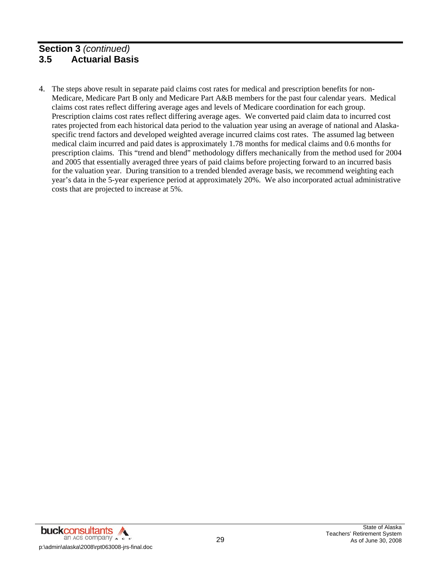4. The steps above result in separate paid claims cost rates for medical and prescription benefits for non-Medicare, Medicare Part B only and Medicare Part A&B members for the past four calendar years. Medical claims cost rates reflect differing average ages and levels of Medicare coordination for each group. Prescription claims cost rates reflect differing average ages. We converted paid claim data to incurred cost rates projected from each historical data period to the valuation year using an average of national and Alaskaspecific trend factors and developed weighted average incurred claims cost rates. The assumed lag between medical claim incurred and paid dates is approximately 1.78 months for medical claims and 0.6 months for prescription claims. This "trend and blend" methodology differs mechanically from the method used for 2004 and 2005 that essentially averaged three years of paid claims before projecting forward to an incurred basis for the valuation year. During transition to a trended blended average basis, we recommend weighting each year's data in the 5-year experience period at approximately 20%. We also incorporated actual administrative costs that are projected to increase at 5%.



State of Alaska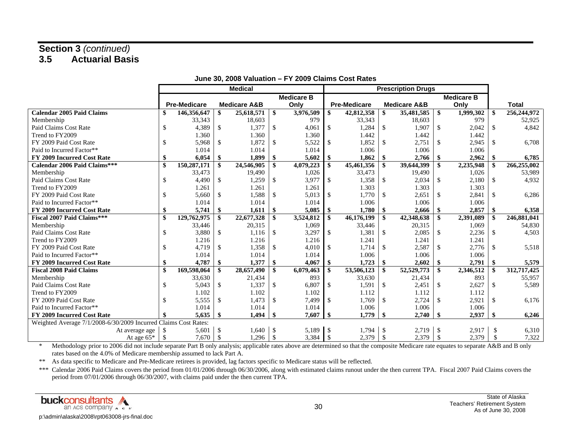|                                                                 | <b>Medical</b> |                     |               |                         | <b>Prescription Drugs</b> |                   |                   |                     |               |                         |               |           |               |              |
|-----------------------------------------------------------------|----------------|---------------------|---------------|-------------------------|---------------------------|-------------------|-------------------|---------------------|---------------|-------------------------|---------------|-----------|---------------|--------------|
|                                                                 |                |                     |               |                         |                           | <b>Medicare B</b> | <b>Medicare B</b> |                     |               |                         |               |           |               |              |
|                                                                 |                | <b>Pre-Medicare</b> |               | <b>Medicare A&amp;B</b> |                           | Only              |                   | <b>Pre-Medicare</b> |               | <b>Medicare A&amp;B</b> |               | Only      |               | <b>Total</b> |
| <b>Calendar 2005 Paid Claims</b>                                | \$             | 146,356,647         | \$            | 25,618,571              | -\$                       | 3,976,509         | \$                | 42,812,358          | \$            | 35,481,585              | \$            | 1,999,302 | -S            | 256,244,972  |
| Membership                                                      |                | 33,343              |               | 18,603                  |                           | 979               |                   | 33,343              |               | 18,603                  |               | 979       |               | 52,925       |
| Paid Claims Cost Rate                                           | \$             | 4,389               | $\mathbb{S}$  | 1,377                   | $\mathcal{S}$             | 4,061             | $\mathbb{S}$      | 1,284               | <sup>\$</sup> | 1,907                   | $\mathbb{S}$  | 2,042     | $\mathbb{S}$  | 4,842        |
| Trend to FY2009                                                 |                | 1.360               |               | 1.360                   |                           | 1.360             |                   | 1.442               |               | 1.442                   |               | 1.442     |               |              |
| FY 2009 Paid Cost Rate                                          | \$             | 5,968               | $\mathbb{S}$  | 1,872                   | $\mathbb{S}$              | 5,522             | \$                | 1,852               | $\mathbb{S}$  | 2,751                   | $\mathbb{S}$  | 2,945     | $\mathcal{S}$ | 6,708        |
| Paid to Incurred Factor**                                       |                | 1.014               |               | 1.014                   |                           | 1.014             |                   | 1.006               |               | 1.006                   |               | 1.006     |               |              |
| <b>FY 2009 Incurred Cost Rate</b>                               | \$             | 6,054               | -\$           | 1,899                   | -\$                       | 5,602             | \$                | 1,862               | \$            | 2,766                   | \$            | 2,962     | \$            | 6,785        |
| Calendar 2006 Paid Claims***                                    | \$             | 150,287,171         | -\$           | 24,546,905              | -\$                       | 4,079,223         | -\$               | 45,461,356          | \$            | 39,644,399              | <b>S</b>      | 2,235,948 | -\$           | 266,255,002  |
| Membership                                                      |                | 33,473              |               | 19,490                  |                           | 1,026             |                   | 33,473              |               | 19,490                  |               | 1,026     |               | 53,989       |
| Paid Claims Cost Rate                                           | $\mathcal{S}$  | 4,490               | $\mathbb{S}$  | 1,259                   | $\mathcal{S}$             | 3,977             | \$                | 1,358               | $\mathcal{S}$ | 2,034                   | $\mathcal{S}$ | 2,180     | \$            | 4,932        |
| Trend to FY2009                                                 |                | 1.261               |               | 1.261                   |                           | 1.261             |                   | 1.303               |               | 1.303                   |               | 1.303     |               |              |
| FY 2009 Paid Cost Rate                                          | $\mathbb{S}$   | 5.660               | $\mathcal{S}$ | 1,588                   | $\mathcal{S}$             | 5.013             | $\mathbb{S}$      | 1.770               | <sup>\$</sup> | 2.651                   | <sup>\$</sup> | 2,841     | $\mathbb{S}$  | 6,286        |
| Paid to Incurred Factor**                                       |                | 1.014               |               | 1.014                   |                           | 1.014             |                   | 1.006               |               | 1.006                   |               | 1.006     |               |              |
| <b>FY 2009 Incurred Cost Rate</b>                               | \$             | 5,741               | \$            | 1,611                   | \$                        | 5,085             | \$                | 1,780               | \$            | 2,666                   | -S            | 2,857     | \$            | 6,358        |
| <b>Fiscal 2007 Paid Claims***</b>                               | \$             | 129,762,975         | -\$           | 22,677,328              | -\$                       | 3,524,812         | -\$               | 46,176,199          | <b>S</b>      | 42,348,638              | <b>S</b>      | 2,391,089 | -\$           | 246,881,041  |
| Membership                                                      |                | 33,446              |               | 20,315                  |                           | 1,069             |                   | 33,446              |               | 20,315                  |               | 1,069     |               | 54,830       |
| Paid Claims Cost Rate                                           | $\mathcal{S}$  | 3,880               | $\mathbb{S}$  | 1,116                   | $\mathcal{S}$             | 3,297             | $\mathbb{S}$      | 1,381               | <sup>\$</sup> | 2,085                   | <sup>\$</sup> | 2,236     | $\mathbb{S}$  | 4,503        |
| Trend to FY2009                                                 |                | 1.216               |               | 1.216                   |                           | 1.216             |                   | 1.241               |               | 1.241                   |               | 1.241     |               |              |
| FY 2009 Paid Cost Rate                                          | <sup>\$</sup>  | 4,719               | $\mathcal{S}$ | 1,358                   | $\mathcal{S}$             | 4,010             | $\mathcal{S}$     | 1.714               | $\mathbb{S}$  | 2,587                   | $\mathcal{S}$ | 2,776     | $\mathcal{S}$ | 5,518        |
| Paid to Incurred Factor**                                       |                | 1.014               |               | 1.014                   |                           | 1.014             |                   | 1.006               |               | 1.006                   |               | 1.006     |               |              |
| <b>FY 2009 Incurred Cost Rate</b>                               | \$             | 4,787               | \$            | 1,377                   | \$                        | 4,067             | -\$               | 1,723               | \$            | 2,602                   | -\$           | 2,791     | -\$           | 5,579        |
| <b>Fiscal 2008 Paid Claims</b>                                  |                | 169,598,064         | -\$           | 28,657,490              | -\$                       | 6,079,463         | -\$               | 53,506,123          | -\$           | 52,529,773              | -\$           | 2,346,512 | -\$           | 312,717,425  |
| Membership                                                      |                | 33,630              |               | 21,434                  |                           | 893               |                   | 33,630              |               | 21,434                  |               | 893       |               | 55,957       |
| Paid Claims Cost Rate                                           | \$             | 5,043               | $\mathbb{S}$  | 1,337                   | $\mathbb{S}$              | 6,807             | \$                | 1,591               | $\mathbb{S}$  | 2,451                   | \$            | 2,627     | $\mathcal{S}$ | 5,589        |
| Trend to FY2009                                                 |                | 1.102               |               | 1.102                   |                           | 1.102             |                   | 1.112               |               | 1.112                   |               | 1.112     |               |              |
| FY 2009 Paid Cost Rate                                          | \$.            | 5,555               | $\mathbb{S}$  | 1,473                   | $\mathcal{S}$             | 7,499             | $\mathbb{S}$      | 1,769               | <sup>\$</sup> | 2,724                   | $\mathbb{S}$  | 2,921     | $\mathbb{S}$  | 6,176        |
| Paid to Incurred Factor**                                       |                | 1.014               |               | 1.014                   |                           | 1.014             |                   | 1.006               |               | 1.006                   |               | 1.006     |               |              |
| <b>FY 2009 Incurred Cost Rate</b>                               |                | 5,635               | -\$           | 1,494                   | -\$                       | 7,607             | -\$               | 1,779               | -\$           | 2,740                   | -\$           | 2,937     | -\$           | 6,246        |
| Weighted Average 7/1/2008-6/30/2009 Incurred Claims Cost Rates: |                |                     |               |                         |                           |                   |                   |                     |               |                         |               |           |               |              |
| At average age                                                  | -\$            | 5,601               | -S            | 1,640                   | -S                        | 5,189             | -\$               | 1.794               | -\$           | 2,719                   | $\mathcal{S}$ | 2,917     | \$            | 6,310        |
| At age $65*$                                                    | $\mathcal{S}$  | 7,670               | -\$           | 1,296                   | $\mathcal{S}$             | 3,384             | - \$              | 2,379               | <sup>\$</sup> | 2,379                   | <sup>\$</sup> | 2,379     | \$            | 7,322        |

#### **June 30, 2008 Valuation – FY 2009 Claims Cost Rates**

\* Methodology prior to 2006 did not include separate Part B only analysis; applicable rates above are determined so that the composite Medicare rate equates to separate A&B and B only rates based on the 4.0% of Medicare membership assumed to lack Part A.

\*\* As data specific to Medicare and Pre-Medicare retirees is provided, lag factors specific to Medicare status will be reflected.

\*\*\* Calendar 2006 Paid Claims covers the period from 01/01/2006 through 06/30/2006, along with estimated claims runout under the then current TPA. Fiscal 2007 Paid Claims covers the period from 07/01/2006 through 06/30/2007, with claims paid under the then current TPA.

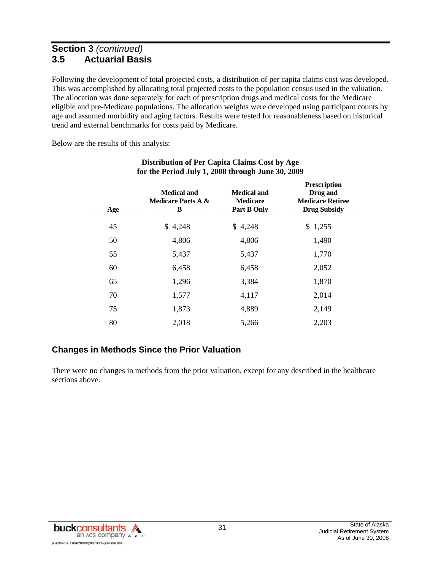Following the development of total projected costs, a distribution of per capita claims cost was developed. This was accomplished by allocating total projected costs to the population census used in the valuation. The allocation was done separately for each of prescription drugs and medical costs for the Medicare eligible and pre-Medicare populations. The allocation weights were developed using participant counts by age and assumed morbidity and aging factors. Results were tested for reasonableness based on historical trend and external benchmarks for costs paid by Medicare.

Below are the results of this analysis:

| Age | <b>Medical and</b><br><b>Medicare Parts A &amp;</b><br>B | <b>Medical and</b><br><b>Medicare</b><br><b>Part B Only</b> | <b>Prescription</b><br>Drug and<br><b>Medicare Retiree</b><br><b>Drug Subsidy</b> |
|-----|----------------------------------------------------------|-------------------------------------------------------------|-----------------------------------------------------------------------------------|
| 45  | 4,248<br>S.                                              | \$4,248                                                     | \$1,255                                                                           |
| 50  | 4,806                                                    | 4,806                                                       | 1,490                                                                             |
| 55  | 5,437                                                    | 5,437                                                       | 1,770                                                                             |
| 60  | 6,458                                                    | 6,458                                                       | 2,052                                                                             |
| 65  | 1,296                                                    | 3,384                                                       | 1,870                                                                             |
| 70  | 1,577                                                    | 4,117                                                       | 2,014                                                                             |
| 75  | 1,873                                                    | 4,889                                                       | 2,149                                                                             |
| 80  | 2,018                                                    | 5,266                                                       | 2,203                                                                             |

#### **Distribution of Per Capita Claims Cost by Age for the Period July 1, 2008 through June 30, 2009**

# **Changes in Methods Since the Prior Valuation**

There were no changes in methods from the prior valuation, except for any described in the healthcare sections above.

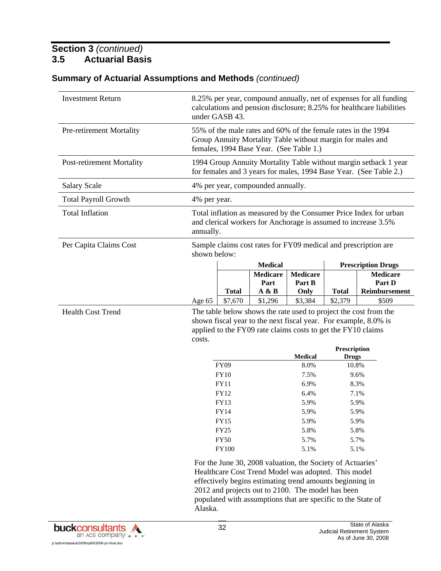| <b>Investment Return</b>         | 8.25% per year, compound annually, net of expenses for all funding<br>calculations and pension disclosure; 8.25% for healthcare liabilities<br>under GASB 43.                                                                      |                                                                                                                                                  |                                   |                                   |              |                                            |  |  |  |
|----------------------------------|------------------------------------------------------------------------------------------------------------------------------------------------------------------------------------------------------------------------------------|--------------------------------------------------------------------------------------------------------------------------------------------------|-----------------------------------|-----------------------------------|--------------|--------------------------------------------|--|--|--|
| Pre-retirement Mortality         | 55% of the male rates and 60% of the female rates in the 1994<br>Group Annuity Mortality Table without margin for males and<br>females, 1994 Base Year. (See Table 1.)                                                             |                                                                                                                                                  |                                   |                                   |              |                                            |  |  |  |
| <b>Post-retirement Mortality</b> |                                                                                                                                                                                                                                    | 1994 Group Annuity Mortality Table without margin setback 1 year<br>for females and 3 years for males, 1994 Base Year. (See Table 2.)            |                                   |                                   |              |                                            |  |  |  |
| <b>Salary Scale</b>              |                                                                                                                                                                                                                                    |                                                                                                                                                  | 4% per year, compounded annually. |                                   |              |                                            |  |  |  |
| <b>Total Payroll Growth</b>      | 4% per year.                                                                                                                                                                                                                       |                                                                                                                                                  |                                   |                                   |              |                                            |  |  |  |
| <b>Total Inflation</b>           |                                                                                                                                                                                                                                    | Total inflation as measured by the Consumer Price Index for urban<br>and clerical workers for Anchorage is assumed to increase 3.5%<br>annually. |                                   |                                   |              |                                            |  |  |  |
| Per Capita Claims Cost           | Sample claims cost rates for FY09 medical and prescription are<br>shown below:                                                                                                                                                     |                                                                                                                                                  |                                   |                                   |              |                                            |  |  |  |
|                                  |                                                                                                                                                                                                                                    |                                                                                                                                                  | <b>Medical</b>                    |                                   |              | <b>Prescription Drugs</b>                  |  |  |  |
|                                  |                                                                                                                                                                                                                                    | <b>Total</b>                                                                                                                                     | <b>Medicare</b><br>Part<br>A & B  | <b>Medicare</b><br>Part B<br>Only | <b>Total</b> | <b>Medicare</b><br>Part D<br>Reimbursement |  |  |  |
|                                  | Age 65                                                                                                                                                                                                                             | \$7,670                                                                                                                                          | \$1,296                           | \$3,384                           | \$2,379      | \$509                                      |  |  |  |
| <b>Health Cost Trend</b>         | The table below shows the rate used to project the cost from the<br>shown fiscal year to the next fiscal year. For example, 8.0% is<br>applied to the FY09 rate claims costs to get the FY10 claims<br>costs.                      |                                                                                                                                                  |                                   |                                   |              |                                            |  |  |  |
|                                  |                                                                                                                                                                                                                                    |                                                                                                                                                  |                                   |                                   | Prescription |                                            |  |  |  |
|                                  |                                                                                                                                                                                                                                    |                                                                                                                                                  |                                   | <b>Medical</b>                    | <b>Drugs</b> |                                            |  |  |  |
|                                  |                                                                                                                                                                                                                                    | <b>FY09</b>                                                                                                                                      |                                   | 8.0%                              | 10.8%        |                                            |  |  |  |
|                                  |                                                                                                                                                                                                                                    | <b>FY10</b><br><b>FY11</b>                                                                                                                       |                                   | 7.5%<br>6.9%                      |              | 9.6%<br>8.3%                               |  |  |  |
|                                  |                                                                                                                                                                                                                                    | FY12                                                                                                                                             |                                   | 6.4%                              |              | 7.1%                                       |  |  |  |
|                                  |                                                                                                                                                                                                                                    | FY13                                                                                                                                             |                                   | 5.9%                              |              | 5.9%                                       |  |  |  |
|                                  |                                                                                                                                                                                                                                    | FY14                                                                                                                                             |                                   | 5.9%                              |              | 5.9%                                       |  |  |  |
|                                  |                                                                                                                                                                                                                                    | <b>FY15</b>                                                                                                                                      |                                   | 5.9%                              |              |                                            |  |  |  |
|                                  |                                                                                                                                                                                                                                    | <b>FY25</b>                                                                                                                                      |                                   | 5.8%                              | 5.9%<br>5.8% |                                            |  |  |  |
|                                  |                                                                                                                                                                                                                                    | <b>FY50</b>                                                                                                                                      |                                   | 5.7%                              | 5.7%         |                                            |  |  |  |
|                                  | <b>FY100</b><br>5.1%<br>5.1%                                                                                                                                                                                                       |                                                                                                                                                  |                                   |                                   |              |                                            |  |  |  |
|                                  | For the June 30, 2008 valuation, the Society of Actuaries'<br>Healthcare Cost Trend Model was adopted. This model<br>effectively begins estimating trend amounts beginning in<br>2012 and projects out to 2100. The model has been |                                                                                                                                                  |                                   |                                   |              |                                            |  |  |  |

# **Summary of Actuarial Assumptions and Methods** *(continued)*



Alaska.

populated with assumptions that are specific to the State of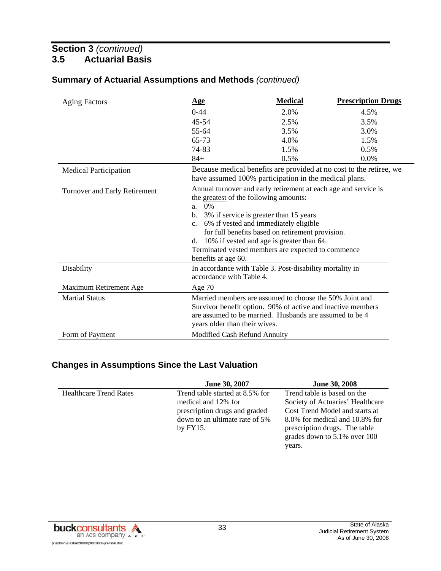| <b>Aging Factors</b>          | <u>Age</u>                                                                                                                   | <b>Medical</b>                                   | <b>Prescription Drugs</b> |  |  |  |  |  |  |
|-------------------------------|------------------------------------------------------------------------------------------------------------------------------|--------------------------------------------------|---------------------------|--|--|--|--|--|--|
|                               | $0 - 44$                                                                                                                     | 2.0%                                             | 4.5%                      |  |  |  |  |  |  |
|                               | $45 - 54$                                                                                                                    | 2.5%                                             | 3.5%                      |  |  |  |  |  |  |
|                               | 55-64                                                                                                                        | 3.5%                                             | 3.0%                      |  |  |  |  |  |  |
|                               | 65-73                                                                                                                        | 4.0%                                             | 1.5%                      |  |  |  |  |  |  |
|                               | 74-83                                                                                                                        | 1.5%                                             | 0.5%                      |  |  |  |  |  |  |
|                               | $84+$                                                                                                                        | 0.5%                                             | 0.0%                      |  |  |  |  |  |  |
| <b>Medical Participation</b>  | Because medical benefits are provided at no cost to the retiree, we<br>have assumed 100% participation in the medical plans. |                                                  |                           |  |  |  |  |  |  |
| Turnover and Early Retirement | Annual turnover and early retirement at each age and service is                                                              |                                                  |                           |  |  |  |  |  |  |
|                               | the greatest of the following amounts:                                                                                       |                                                  |                           |  |  |  |  |  |  |
|                               | $0\%$<br>a.                                                                                                                  |                                                  |                           |  |  |  |  |  |  |
|                               | 3% if service is greater than 15 years<br>b.                                                                                 |                                                  |                           |  |  |  |  |  |  |
|                               | 6% if vested and immediately eligible<br>$\mathbf{c}$ .                                                                      |                                                  |                           |  |  |  |  |  |  |
|                               |                                                                                                                              | for full benefits based on retirement provision. |                           |  |  |  |  |  |  |
|                               | 10% if vested and age is greater than 64.<br>d.                                                                              |                                                  |                           |  |  |  |  |  |  |
|                               | Terminated vested members are expected to commence                                                                           |                                                  |                           |  |  |  |  |  |  |
|                               | benefits at age 60.                                                                                                          |                                                  |                           |  |  |  |  |  |  |
| Disability                    | In accordance with Table 3. Post-disability mortality in<br>accordance with Table 4.                                         |                                                  |                           |  |  |  |  |  |  |
| Maximum Retirement Age        | Age $70$                                                                                                                     |                                                  |                           |  |  |  |  |  |  |
| <b>Martial Status</b>         | Married members are assumed to choose the 50% Joint and                                                                      |                                                  |                           |  |  |  |  |  |  |
|                               | Survivor benefit option. 90% of active and inactive members                                                                  |                                                  |                           |  |  |  |  |  |  |
|                               | are assumed to be married. Husbands are assumed to be 4                                                                      |                                                  |                           |  |  |  |  |  |  |
|                               | years older than their wives.                                                                                                |                                                  |                           |  |  |  |  |  |  |
| Form of Payment               | Modified Cash Refund Annuity                                                                                                 |                                                  |                           |  |  |  |  |  |  |

### **Summary of Actuarial Assumptions and Methods** *(continued)*

### **Changes in Assumptions Since the Last Valuation**

|                               | June 30, 2007                   | <b>June 30, 2008</b>             |
|-------------------------------|---------------------------------|----------------------------------|
| <b>Healthcare Trend Rates</b> | Trend table started at 8.5% for | Trend table is based on the      |
|                               | medical and 12% for             | Society of Actuaries' Healthcare |
|                               | prescription drugs and graded   | Cost Trend Model and starts at   |
|                               | down to an ultimate rate of 5%  | 8.0% for medical and 10.8% for   |
|                               | by $FY15$ .                     | prescription drugs. The table    |
|                               |                                 | grades down to 5.1% over 100     |
|                               |                                 | years.                           |

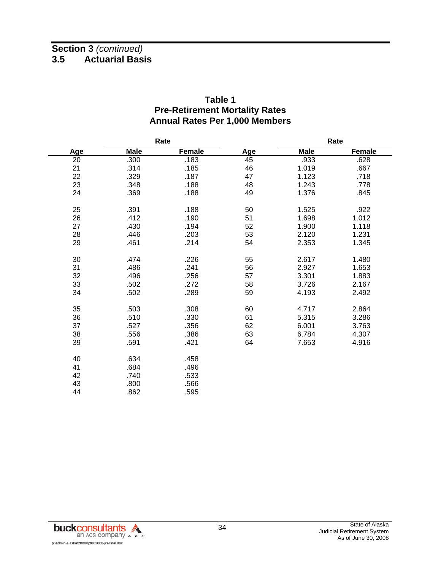|     | Rate        |        |     | Rate        |               |  |  |  |
|-----|-------------|--------|-----|-------------|---------------|--|--|--|
| Age | <b>Male</b> | Female | Age | <b>Male</b> | <b>Female</b> |  |  |  |
| 20  | .300        | .183   | 45  | .933        | .628          |  |  |  |
| 21  | .314        | .185   | 46  | 1.019       | .667          |  |  |  |
| 22  | .329        | .187   | 47  | 1.123       | .718          |  |  |  |
| 23  | .348        | .188   | 48  | 1.243       | .778          |  |  |  |
| 24  | .369        | .188   | 49  | 1.376       | .845          |  |  |  |
| 25  | .391        | .188   | 50  | 1.525       | .922          |  |  |  |
| 26  | .412        | .190   | 51  | 1.698       | 1.012         |  |  |  |
| 27  | .430        | .194   | 52  | 1.900       | 1.118         |  |  |  |
| 28  | .446        | .203   | 53  | 2.120       | 1.231         |  |  |  |
| 29  | .461        | .214   | 54  | 2.353       | 1.345         |  |  |  |
| 30  | .474        | .226   | 55  | 2.617       | 1.480         |  |  |  |
| 31  | .486        | .241   | 56  | 2.927       | 1.653         |  |  |  |
| 32  | .496        | .256   | 57  | 3.301       | 1.883         |  |  |  |
| 33  | .502        | .272   | 58  | 3.726       | 2.167         |  |  |  |
| 34  | .502        | .289   | 59  | 4.193       | 2.492         |  |  |  |
| 35  | .503        | .308   | 60  | 4.717       | 2.864         |  |  |  |
| 36  | .510        | .330   | 61  | 5.315       | 3.286         |  |  |  |
| 37  | .527        | .356   | 62  | 6.001       | 3.763         |  |  |  |
| 38  | .556        | .386   | 63  | 6.784       | 4.307         |  |  |  |
| 39  | .591        | .421   | 64  | 7.653       | 4.916         |  |  |  |
| 40  | .634        | .458   |     |             |               |  |  |  |
| 41  | .684        | .496   |     |             |               |  |  |  |
| 42  | .740        | .533   |     |             |               |  |  |  |
| 43  | .800        | .566   |     |             |               |  |  |  |
| 44  | .862        | .595   |     |             |               |  |  |  |

### **Table 1 Pre-Retirement Mortality Rates Annual Rates Per 1,000 Members**

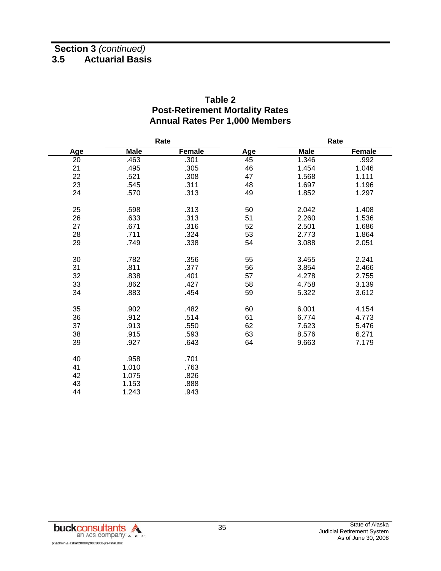|     | Rate        |        |     | Rate        |               |  |  |
|-----|-------------|--------|-----|-------------|---------------|--|--|
| Age | <b>Male</b> | Female | Age | <b>Male</b> | <b>Female</b> |  |  |
| 20  | .463        | .301   | 45  | 1.346       | .992          |  |  |
| 21  | .495        | .305   | 46  | 1.454       | 1.046         |  |  |
| 22  | .521        | .308   | 47  | 1.568       | 1.111         |  |  |
| 23  | .545        | .311   | 48  | 1.697       | 1.196         |  |  |
| 24  | .570        | .313   | 49  | 1.852       | 1.297         |  |  |
| 25  | .598        | .313   | 50  | 2.042       | 1.408         |  |  |
| 26  | .633        | .313   | 51  | 2.260       | 1.536         |  |  |
| 27  | .671        | .316   | 52  | 2.501       | 1.686         |  |  |
| 28  | .711        | .324   | 53  | 2.773       | 1.864         |  |  |
| 29  | .749        | .338   | 54  | 3.088       | 2.051         |  |  |
| 30  | .782        | .356   | 55  | 3.455       | 2.241         |  |  |
| 31  | .811        | .377   | 56  | 3.854       | 2.466         |  |  |
| 32  | .838        | .401   | 57  | 4.278       | 2.755         |  |  |
| 33  | .862        | .427   | 58  | 4.758       | 3.139         |  |  |
| 34  | .883        | .454   | 59  | 5.322       | 3.612         |  |  |
| 35  | .902        | .482   | 60  | 6.001       | 4.154         |  |  |
| 36  | .912        | .514   | 61  | 6.774       | 4.773         |  |  |
| 37  | .913        | .550   | 62  | 7.623       | 5.476         |  |  |
| 38  | .915        | .593   | 63  | 8.576       | 6.271         |  |  |
| 39  | .927        | .643   | 64  | 9.663       | 7.179         |  |  |
| 40  | .958        | .701   |     |             |               |  |  |
| 41  | 1.010       | .763   |     |             |               |  |  |
| 42  | 1.075       | .826   |     |             |               |  |  |
| 43  | 1.153       | .888   |     |             |               |  |  |
| 44  | 1.243       | .943   |     |             |               |  |  |

### **Table 2 Post-Retirement Mortality Rates Annual Rates Per 1,000 Members**

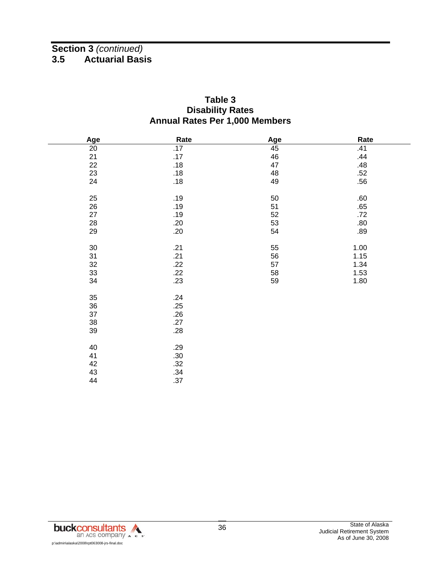### **Table 3 Disability Rates Annual Rates Per 1,000 Members**

| Age             | Rate | Age | Rate |
|-----------------|------|-----|------|
| $\overline{20}$ | .17  | 45  | .41  |
| 21              | .17  | 46  | .44  |
| 22              | .18  | 47  | .48  |
| 23              | .18  | 48  | .52  |
| 24              | .18  | 49  | .56  |
|                 |      |     |      |
| 25              | .19  | 50  | .60  |
| 26              | .19  | 51  | .65  |
| 27              | .19  | 52  | .72  |
| 28              | .20  | 53  | .80  |
| 29              | .20  | 54  | .89  |
|                 |      |     |      |
| 30              | .21  | 55  | 1.00 |
| 31              | .21  | 56  | 1.15 |
| 32              | .22  | 57  | 1.34 |
| 33              | .22  | 58  | 1.53 |
| 34              | .23  | 59  | 1.80 |
| 35              | .24  |     |      |
| $36\,$          | .25  |     |      |
| 37              | .26  |     |      |
| $38\,$          | .27  |     |      |
| 39              | .28  |     |      |
|                 |      |     |      |
| 40              | .29  |     |      |
| 41              | .30  |     |      |
| 42              | .32  |     |      |
| 43              | .34  |     |      |
| 44              | .37  |     |      |
|                 |      |     |      |